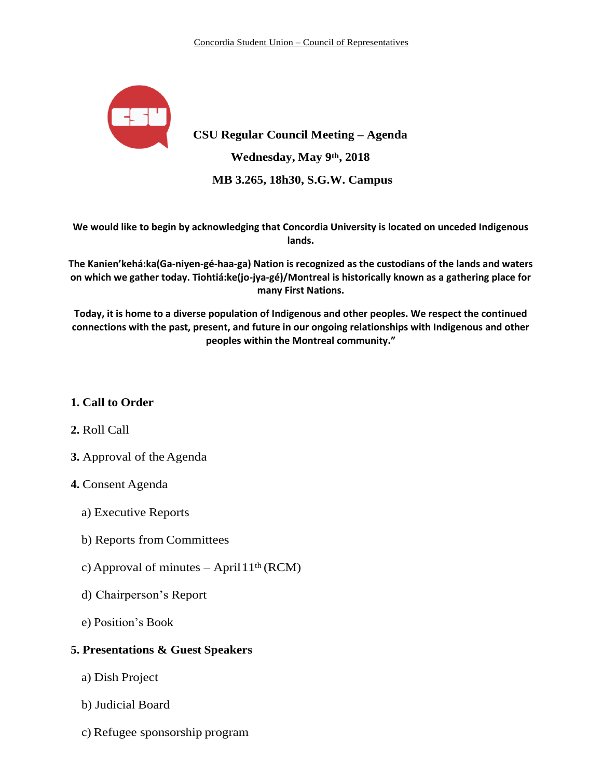

**CSU Regular Council Meeting – Agenda Wednesday, May 9th, 2018 MB 3.265, 18h30, S.G.W. Campus**

**We would like to begin by acknowledging that Concordia University is located on unceded Indigenous lands.**

**The Kanien'kehá:ka(Ga-niyen-gé-haa-ga) Nation is recognized as the custodians of the lands and waters on which we gather today. Tiohtiá:ke(jo-jya-gé)/Montreal is historically known as a gathering place for many First Nations.**

**Today, it is home to a diverse population of Indigenous and other peoples. We respect the continued connections with the past, present, and future in our ongoing relationships with Indigenous and other peoples within the Montreal community."**

# **1. Call to Order**

## **2.** Roll Call

**3.** Approval of the Agenda

# **4.** Consent Agenda

- a) Executive Reports
- b) Reports from Committees
- c) Approval of minutes April  $11<sup>th</sup> (RCM)$
- d) Chairperson's Report
- e) Position's Book

## **5. Presentations & Guest Speakers**

- a) Dish Project
- b) Judicial Board
- c) Refugee sponsorship program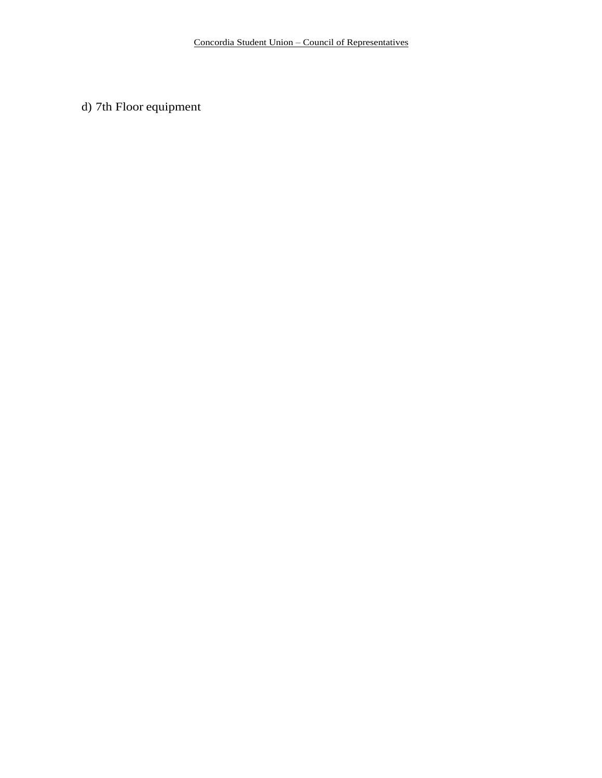d) 7th Floor equipment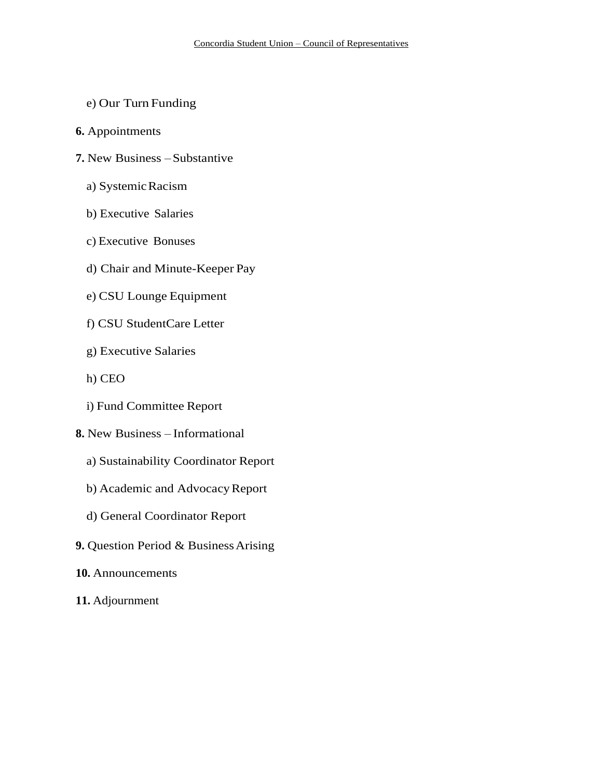- e) Our Turn Funding
- **6.** Appointments
- **7.** New Business –Substantive
	- a) SystemicRacism
	- b) Executive Salaries
	- c) Executive Bonuses
	- d) Chair and Minute-Keeper Pay
	- e) CSU Lounge Equipment
	- f) CSU StudentCare Letter
	- g) Executive Salaries
	- h) CEO
	- i) Fund Committee Report
- **8.** New Business Informational
	- a) Sustainability Coordinator Report
	- b) Academic and Advocacy Report
	- d) General Coordinator Report
- **9.** Question Period & BusinessArising
- **10.** Announcements
- **11.** Adjournment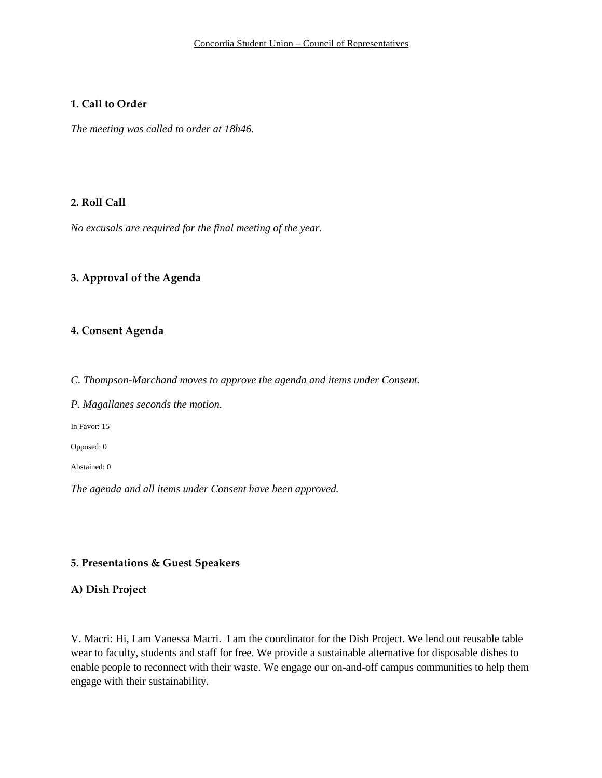### **1. Call to Order**

*The meeting was called to order at 18h46.*

# **2. Roll Call**

*No excusals are required for the final meeting of the year.* 

### **3. Approval of the Agenda**

#### **4. Consent Agenda**

*C. Thompson-Marchand moves to approve the agenda and items under Consent.*

*P. Magallanes seconds the motion.*

In Favor: 15

Opposed: 0

Abstained: 0

*The agenda and all items under Consent have been approved.* 

### **5. Presentations & Guest Speakers**

## **A) Dish Project**

V. Macri: Hi, I am Vanessa Macri. I am the coordinator for the Dish Project. We lend out reusable table wear to faculty, students and staff for free. We provide a sustainable alternative for disposable dishes to enable people to reconnect with their waste. We engage our on-and-off campus communities to help them engage with their sustainability.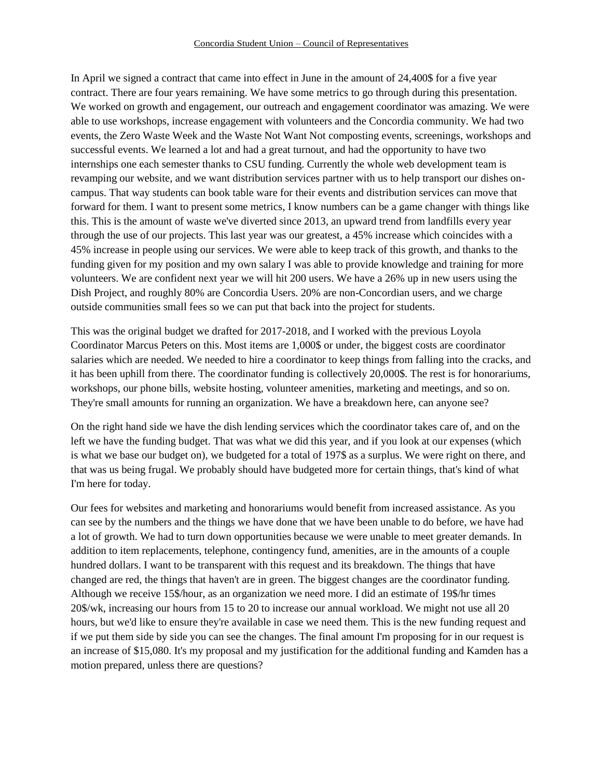In April we signed a contract that came into effect in June in the amount of 24,400\$ for a five year contract. There are four years remaining. We have some metrics to go through during this presentation. We worked on growth and engagement, our outreach and engagement coordinator was amazing. We were able to use workshops, increase engagement with volunteers and the Concordia community. We had two events, the Zero Waste Week and the Waste Not Want Not composting events, screenings, workshops and successful events. We learned a lot and had a great turnout, and had the opportunity to have two internships one each semester thanks to CSU funding. Currently the whole web development team is revamping our website, and we want distribution services partner with us to help transport our dishes oncampus. That way students can book table ware for their events and distribution services can move that forward for them. I want to present some metrics, I know numbers can be a game changer with things like this. This is the amount of waste we've diverted since 2013, an upward trend from landfills every year through the use of our projects. This last year was our greatest, a 45% increase which coincides with a 45% increase in people using our services. We were able to keep track of this growth, and thanks to the funding given for my position and my own salary I was able to provide knowledge and training for more volunteers. We are confident next year we will hit 200 users. We have a 26% up in new users using the Dish Project, and roughly 80% are Concordia Users. 20% are non-Concordian users, and we charge outside communities small fees so we can put that back into the project for students.

This was the original budget we drafted for 2017-2018, and I worked with the previous Loyola Coordinator Marcus Peters on this. Most items are 1,000\$ or under, the biggest costs are coordinator salaries which are needed. We needed to hire a coordinator to keep things from falling into the cracks, and it has been uphill from there. The coordinator funding is collectively 20,000\$. The rest is for honorariums, workshops, our phone bills, website hosting, volunteer amenities, marketing and meetings, and so on. They're small amounts for running an organization. We have a breakdown here, can anyone see?

On the right hand side we have the dish lending services which the coordinator takes care of, and on the left we have the funding budget. That was what we did this year, and if you look at our expenses (which is what we base our budget on), we budgeted for a total of 197\$ as a surplus. We were right on there, and that was us being frugal. We probably should have budgeted more for certain things, that's kind of what I'm here for today.

Our fees for websites and marketing and honorariums would benefit from increased assistance. As you can see by the numbers and the things we have done that we have been unable to do before, we have had a lot of growth. We had to turn down opportunities because we were unable to meet greater demands. In addition to item replacements, telephone, contingency fund, amenities, are in the amounts of a couple hundred dollars. I want to be transparent with this request and its breakdown. The things that have changed are red, the things that haven't are in green. The biggest changes are the coordinator funding. Although we receive 15\$/hour, as an organization we need more. I did an estimate of 19\$/hr times 20\$/wk, increasing our hours from 15 to 20 to increase our annual workload. We might not use all 20 hours, but we'd like to ensure they're available in case we need them. This is the new funding request and if we put them side by side you can see the changes. The final amount I'm proposing for in our request is an increase of \$15,080. It's my proposal and my justification for the additional funding and Kamden has a motion prepared, unless there are questions?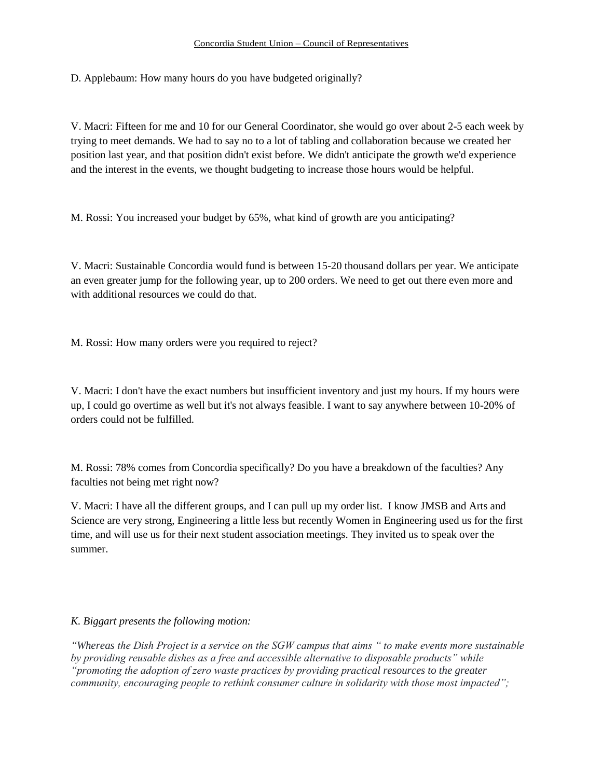D. Applebaum: How many hours do you have budgeted originally?

V. Macri: Fifteen for me and 10 for our General Coordinator, she would go over about 2-5 each week by trying to meet demands. We had to say no to a lot of tabling and collaboration because we created her position last year, and that position didn't exist before. We didn't anticipate the growth we'd experience and the interest in the events, we thought budgeting to increase those hours would be helpful.

M. Rossi: You increased your budget by 65%, what kind of growth are you anticipating?

V. Macri: Sustainable Concordia would fund is between 15-20 thousand dollars per year. We anticipate an even greater jump for the following year, up to 200 orders. We need to get out there even more and with additional resources we could do that.

M. Rossi: How many orders were you required to reject?

V. Macri: I don't have the exact numbers but insufficient inventory and just my hours. If my hours were up, I could go overtime as well but it's not always feasible. I want to say anywhere between 10-20% of orders could not be fulfilled.

M. Rossi: 78% comes from Concordia specifically? Do you have a breakdown of the faculties? Any faculties not being met right now?

V. Macri: I have all the different groups, and I can pull up my order list. I know JMSB and Arts and Science are very strong, Engineering a little less but recently Women in Engineering used us for the first time, and will use us for their next student association meetings. They invited us to speak over the summer.

### *K. Biggart presents the following motion:*

*"Whereas the Dish Project is a service on the SGW campus that aims " to make events more sustainable by providing reusable dishes as a free and accessible alternative to disposable products" while "promoting the adoption of zero waste practices by providing practical resources to the greater community, encouraging people to rethink consumer culture in solidarity with those most impacted";*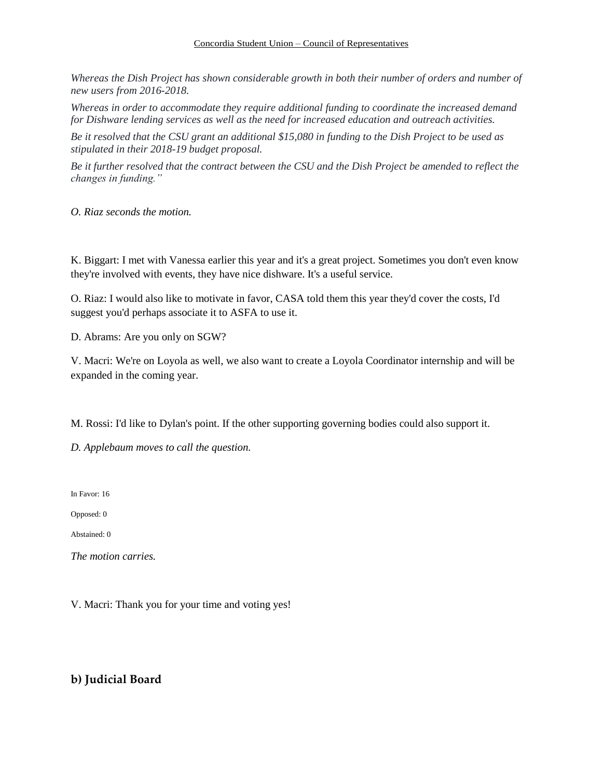#### Concordia Student Union – Council of Representatives

*Whereas the Dish Project has shown considerable growth in both their number of orders and number of new users from 2016-2018.*

*Whereas in order to accommodate they require additional funding to coordinate the increased demand for Dishware lending services as well as the need for increased education and outreach activities.*

*Be it resolved that the CSU grant an additional \$15,080 in funding to the Dish Project to be used as stipulated in their 2018-19 budget proposal.*

*Be it further resolved that the contract between the CSU and the Dish Project be amended to reflect the changes in funding."*

*O. Riaz seconds the motion.* 

K. Biggart: I met with Vanessa earlier this year and it's a great project. Sometimes you don't even know they're involved with events, they have nice dishware. It's a useful service.

O. Riaz: I would also like to motivate in favor, CASA told them this year they'd cover the costs, I'd suggest you'd perhaps associate it to ASFA to use it.

D. Abrams: Are you only on SGW?

V. Macri: We're on Loyola as well, we also want to create a Loyola Coordinator internship and will be expanded in the coming year.

M. Rossi: I'd like to Dylan's point. If the other supporting governing bodies could also support it.

*D. Applebaum moves to call the question.* 

In Favor: 16

Opposed: 0

Abstained: 0

*The motion carries.*

V. Macri: Thank you for your time and voting yes!

## **b) Judicial Board**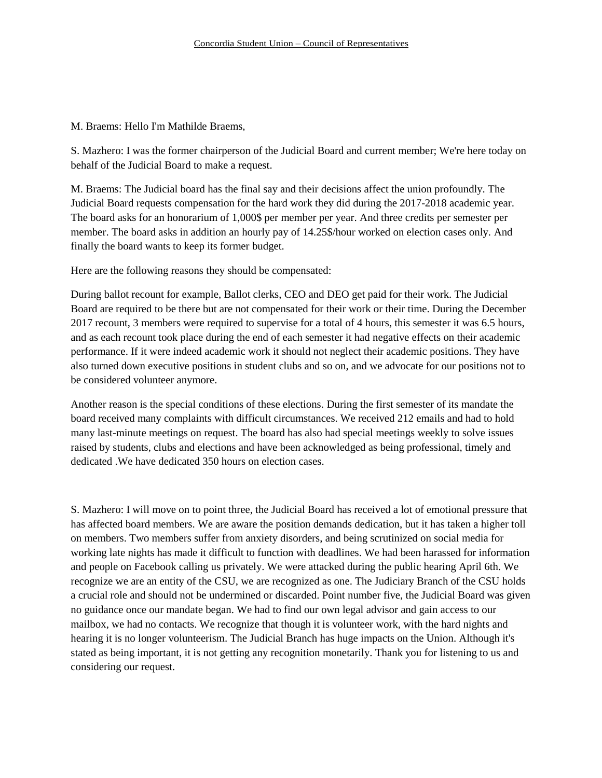#### M. Braems: Hello I'm Mathilde Braems,

S. Mazhero: I was the former chairperson of the Judicial Board and current member; We're here today on behalf of the Judicial Board to make a request.

M. Braems: The Judicial board has the final say and their decisions affect the union profoundly. The Judicial Board requests compensation for the hard work they did during the 2017-2018 academic year. The board asks for an honorarium of 1,000\$ per member per year. And three credits per semester per member. The board asks in addition an hourly pay of 14.25\$/hour worked on election cases only. And finally the board wants to keep its former budget.

Here are the following reasons they should be compensated:

During ballot recount for example, Ballot clerks, CEO and DEO get paid for their work. The Judicial Board are required to be there but are not compensated for their work or their time. During the December 2017 recount, 3 members were required to supervise for a total of 4 hours, this semester it was 6.5 hours, and as each recount took place during the end of each semester it had negative effects on their academic performance. If it were indeed academic work it should not neglect their academic positions. They have also turned down executive positions in student clubs and so on, and we advocate for our positions not to be considered volunteer anymore.

Another reason is the special conditions of these elections. During the first semester of its mandate the board received many complaints with difficult circumstances. We received 212 emails and had to hold many last-minute meetings on request. The board has also had special meetings weekly to solve issues raised by students, clubs and elections and have been acknowledged as being professional, timely and dedicated .We have dedicated 350 hours on election cases.

S. Mazhero: I will move on to point three, the Judicial Board has received a lot of emotional pressure that has affected board members. We are aware the position demands dedication, but it has taken a higher toll on members. Two members suffer from anxiety disorders, and being scrutinized on social media for working late nights has made it difficult to function with deadlines. We had been harassed for information and people on Facebook calling us privately. We were attacked during the public hearing April 6th. We recognize we are an entity of the CSU, we are recognized as one. The Judiciary Branch of the CSU holds a crucial role and should not be undermined or discarded. Point number five, the Judicial Board was given no guidance once our mandate began. We had to find our own legal advisor and gain access to our mailbox, we had no contacts. We recognize that though it is volunteer work, with the hard nights and hearing it is no longer volunteerism. The Judicial Branch has huge impacts on the Union. Although it's stated as being important, it is not getting any recognition monetarily. Thank you for listening to us and considering our request.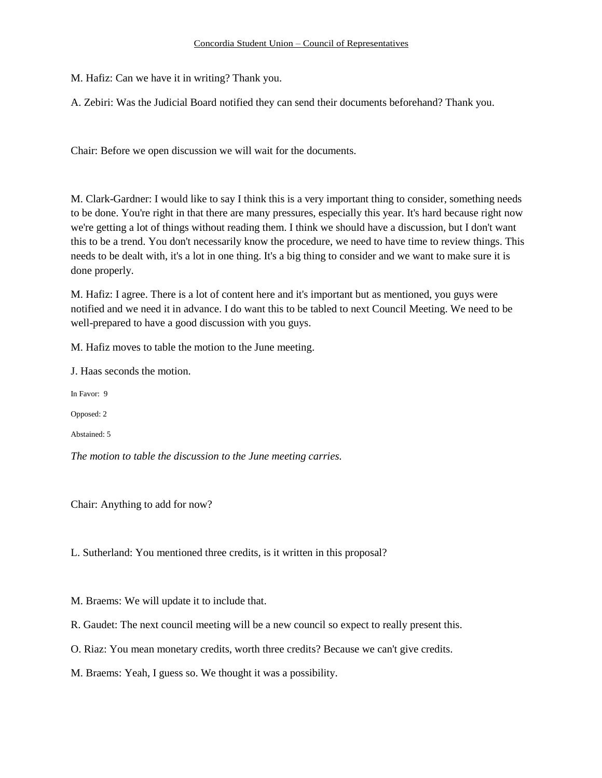#### Concordia Student Union – Council of Representatives

M. Hafiz: Can we have it in writing? Thank you.

A. Zebiri: Was the Judicial Board notified they can send their documents beforehand? Thank you.

Chair: Before we open discussion we will wait for the documents.

M. Clark-Gardner: I would like to say I think this is a very important thing to consider, something needs to be done. You're right in that there are many pressures, especially this year. It's hard because right now we're getting a lot of things without reading them. I think we should have a discussion, but I don't want this to be a trend. You don't necessarily know the procedure, we need to have time to review things. This needs to be dealt with, it's a lot in one thing. It's a big thing to consider and we want to make sure it is done properly.

M. Hafiz: I agree. There is a lot of content here and it's important but as mentioned, you guys were notified and we need it in advance. I do want this to be tabled to next Council Meeting. We need to be well-prepared to have a good discussion with you guys.

M. Hafiz moves to table the motion to the June meeting.

J. Haas seconds the motion.

In Favor: 9

Opposed: 2

Abstained: 5

*The motion to table the discussion to the June meeting carries.* 

Chair: Anything to add for now?

L. Sutherland: You mentioned three credits, is it written in this proposal?

M. Braems: We will update it to include that.

R. Gaudet: The next council meeting will be a new council so expect to really present this.

O. Riaz: You mean monetary credits, worth three credits? Because we can't give credits.

M. Braems: Yeah, I guess so. We thought it was a possibility.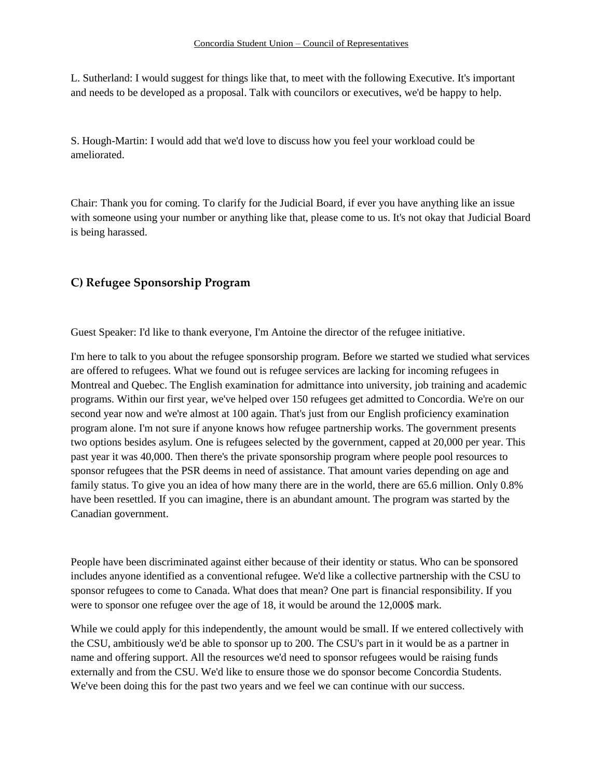L. Sutherland: I would suggest for things like that, to meet with the following Executive. It's important and needs to be developed as a proposal. Talk with councilors or executives, we'd be happy to help.

S. Hough-Martin: I would add that we'd love to discuss how you feel your workload could be ameliorated.

Chair: Thank you for coming. To clarify for the Judicial Board, if ever you have anything like an issue with someone using your number or anything like that, please come to us. It's not okay that Judicial Board is being harassed.

# **C) Refugee Sponsorship Program**

Guest Speaker: I'd like to thank everyone, I'm Antoine the director of the refugee initiative.

I'm here to talk to you about the refugee sponsorship program. Before we started we studied what services are offered to refugees. What we found out is refugee services are lacking for incoming refugees in Montreal and Quebec. The English examination for admittance into university, job training and academic programs. Within our first year, we've helped over 150 refugees get admitted to Concordia. We're on our second year now and we're almost at 100 again. That's just from our English proficiency examination program alone. I'm not sure if anyone knows how refugee partnership works. The government presents two options besides asylum. One is refugees selected by the government, capped at 20,000 per year. This past year it was 40,000. Then there's the private sponsorship program where people pool resources to sponsor refugees that the PSR deems in need of assistance. That amount varies depending on age and family status. To give you an idea of how many there are in the world, there are 65.6 million. Only 0.8% have been resettled. If you can imagine, there is an abundant amount. The program was started by the Canadian government.

People have been discriminated against either because of their identity or status. Who can be sponsored includes anyone identified as a conventional refugee. We'd like a collective partnership with the CSU to sponsor refugees to come to Canada. What does that mean? One part is financial responsibility. If you were to sponsor one refugee over the age of 18, it would be around the 12,000\$ mark.

While we could apply for this independently, the amount would be small. If we entered collectively with the CSU, ambitiously we'd be able to sponsor up to 200. The CSU's part in it would be as a partner in name and offering support. All the resources we'd need to sponsor refugees would be raising funds externally and from the CSU. We'd like to ensure those we do sponsor become Concordia Students. We've been doing this for the past two years and we feel we can continue with our success.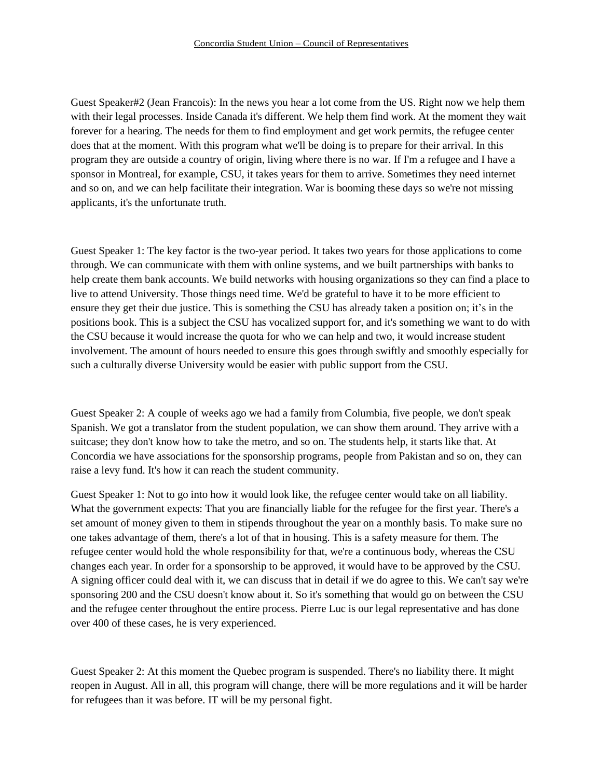Guest Speaker#2 (Jean Francois): In the news you hear a lot come from the US. Right now we help them with their legal processes. Inside Canada it's different. We help them find work. At the moment they wait forever for a hearing. The needs for them to find employment and get work permits, the refugee center does that at the moment. With this program what we'll be doing is to prepare for their arrival. In this program they are outside a country of origin, living where there is no war. If I'm a refugee and I have a sponsor in Montreal, for example, CSU, it takes years for them to arrive. Sometimes they need internet and so on, and we can help facilitate their integration. War is booming these days so we're not missing applicants, it's the unfortunate truth.

Guest Speaker 1: The key factor is the two-year period. It takes two years for those applications to come through. We can communicate with them with online systems, and we built partnerships with banks to help create them bank accounts. We build networks with housing organizations so they can find a place to live to attend University. Those things need time. We'd be grateful to have it to be more efficient to ensure they get their due justice. This is something the CSU has already taken a position on; it's in the positions book. This is a subject the CSU has vocalized support for, and it's something we want to do with the CSU because it would increase the quota for who we can help and two, it would increase student involvement. The amount of hours needed to ensure this goes through swiftly and smoothly especially for such a culturally diverse University would be easier with public support from the CSU.

Guest Speaker 2: A couple of weeks ago we had a family from Columbia, five people, we don't speak Spanish. We got a translator from the student population, we can show them around. They arrive with a suitcase; they don't know how to take the metro, and so on. The students help, it starts like that. At Concordia we have associations for the sponsorship programs, people from Pakistan and so on, they can raise a levy fund. It's how it can reach the student community.

Guest Speaker 1: Not to go into how it would look like, the refugee center would take on all liability. What the government expects: That you are financially liable for the refugee for the first year. There's a set amount of money given to them in stipends throughout the year on a monthly basis. To make sure no one takes advantage of them, there's a lot of that in housing. This is a safety measure for them. The refugee center would hold the whole responsibility for that, we're a continuous body, whereas the CSU changes each year. In order for a sponsorship to be approved, it would have to be approved by the CSU. A signing officer could deal with it, we can discuss that in detail if we do agree to this. We can't say we're sponsoring 200 and the CSU doesn't know about it. So it's something that would go on between the CSU and the refugee center throughout the entire process. Pierre Luc is our legal representative and has done over 400 of these cases, he is very experienced.

Guest Speaker 2: At this moment the Quebec program is suspended. There's no liability there. It might reopen in August. All in all, this program will change, there will be more regulations and it will be harder for refugees than it was before. IT will be my personal fight.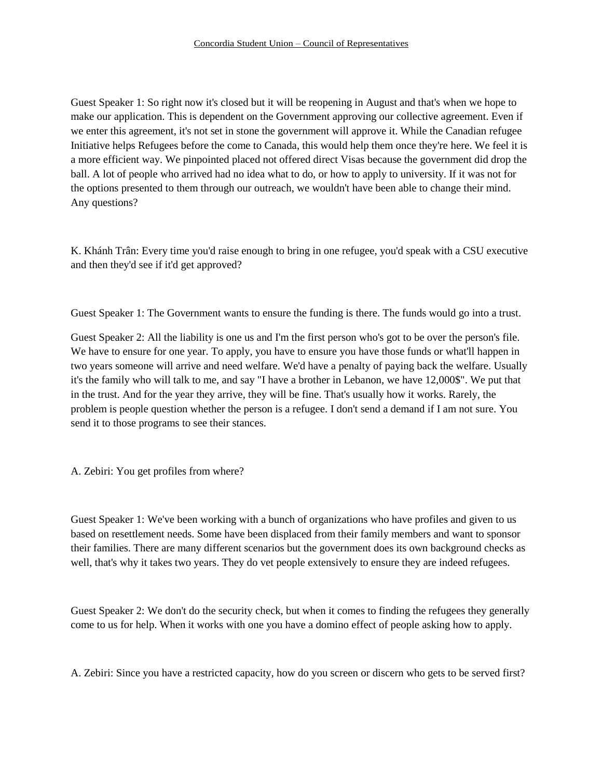Guest Speaker 1: So right now it's closed but it will be reopening in August and that's when we hope to make our application. This is dependent on the Government approving our collective agreement. Even if we enter this agreement, it's not set in stone the government will approve it. While the Canadian refugee Initiative helps Refugees before the come to Canada, this would help them once they're here. We feel it is a more efficient way. We pinpointed placed not offered direct Visas because the government did drop the ball. A lot of people who arrived had no idea what to do, or how to apply to university. If it was not for the options presented to them through our outreach, we wouldn't have been able to change their mind. Any questions?

K. Khánh Trân: Every time you'd raise enough to bring in one refugee, you'd speak with a CSU executive and then they'd see if it'd get approved?

Guest Speaker 1: The Government wants to ensure the funding is there. The funds would go into a trust.

Guest Speaker 2: All the liability is one us and I'm the first person who's got to be over the person's file. We have to ensure for one year. To apply, you have to ensure you have those funds or what'll happen in two years someone will arrive and need welfare. We'd have a penalty of paying back the welfare. Usually it's the family who will talk to me, and say "I have a brother in Lebanon, we have 12,000\$". We put that in the trust. And for the year they arrive, they will be fine. That's usually how it works. Rarely, the problem is people question whether the person is a refugee. I don't send a demand if I am not sure. You send it to those programs to see their stances.

A. Zebiri: You get profiles from where?

Guest Speaker 1: We've been working with a bunch of organizations who have profiles and given to us based on resettlement needs. Some have been displaced from their family members and want to sponsor their families. There are many different scenarios but the government does its own background checks as well, that's why it takes two years. They do vet people extensively to ensure they are indeed refugees.

Guest Speaker 2: We don't do the security check, but when it comes to finding the refugees they generally come to us for help. When it works with one you have a domino effect of people asking how to apply.

A. Zebiri: Since you have a restricted capacity, how do you screen or discern who gets to be served first?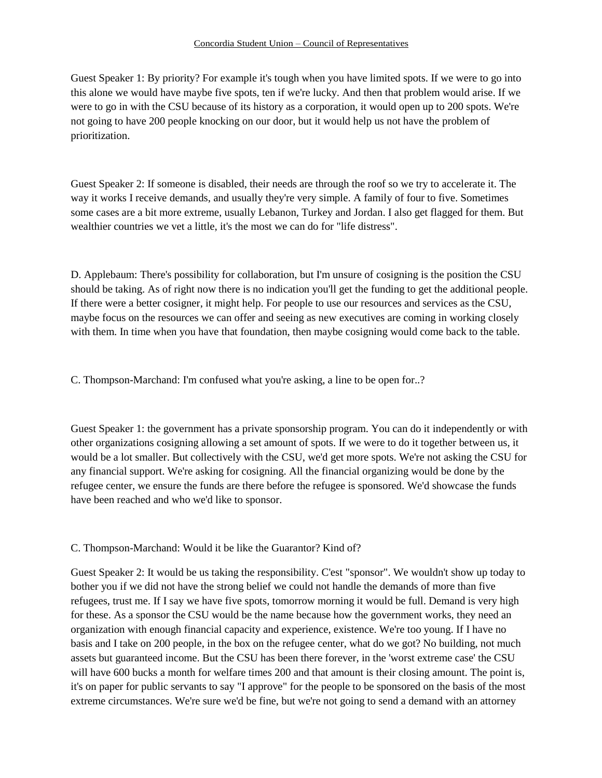Guest Speaker 1: By priority? For example it's tough when you have limited spots. If we were to go into this alone we would have maybe five spots, ten if we're lucky. And then that problem would arise. If we were to go in with the CSU because of its history as a corporation, it would open up to 200 spots. We're not going to have 200 people knocking on our door, but it would help us not have the problem of prioritization.

Guest Speaker 2: If someone is disabled, their needs are through the roof so we try to accelerate it. The way it works I receive demands, and usually they're very simple. A family of four to five. Sometimes some cases are a bit more extreme, usually Lebanon, Turkey and Jordan. I also get flagged for them. But wealthier countries we vet a little, it's the most we can do for "life distress".

D. Applebaum: There's possibility for collaboration, but I'm unsure of cosigning is the position the CSU should be taking. As of right now there is no indication you'll get the funding to get the additional people. If there were a better cosigner, it might help. For people to use our resources and services as the CSU, maybe focus on the resources we can offer and seeing as new executives are coming in working closely with them. In time when you have that foundation, then maybe cosigning would come back to the table.

C. Thompson-Marchand: I'm confused what you're asking, a line to be open for..?

Guest Speaker 1: the government has a private sponsorship program. You can do it independently or with other organizations cosigning allowing a set amount of spots. If we were to do it together between us, it would be a lot smaller. But collectively with the CSU, we'd get more spots. We're not asking the CSU for any financial support. We're asking for cosigning. All the financial organizing would be done by the refugee center, we ensure the funds are there before the refugee is sponsored. We'd showcase the funds have been reached and who we'd like to sponsor.

C. Thompson-Marchand: Would it be like the Guarantor? Kind of?

Guest Speaker 2: It would be us taking the responsibility. C'est "sponsor". We wouldn't show up today to bother you if we did not have the strong belief we could not handle the demands of more than five refugees, trust me. If I say we have five spots, tomorrow morning it would be full. Demand is very high for these. As a sponsor the CSU would be the name because how the government works, they need an organization with enough financial capacity and experience, existence. We're too young. If I have no basis and I take on 200 people, in the box on the refugee center, what do we got? No building, not much assets but guaranteed income. But the CSU has been there forever, in the 'worst extreme case' the CSU will have 600 bucks a month for welfare times 200 and that amount is their closing amount. The point is, it's on paper for public servants to say "I approve" for the people to be sponsored on the basis of the most extreme circumstances. We're sure we'd be fine, but we're not going to send a demand with an attorney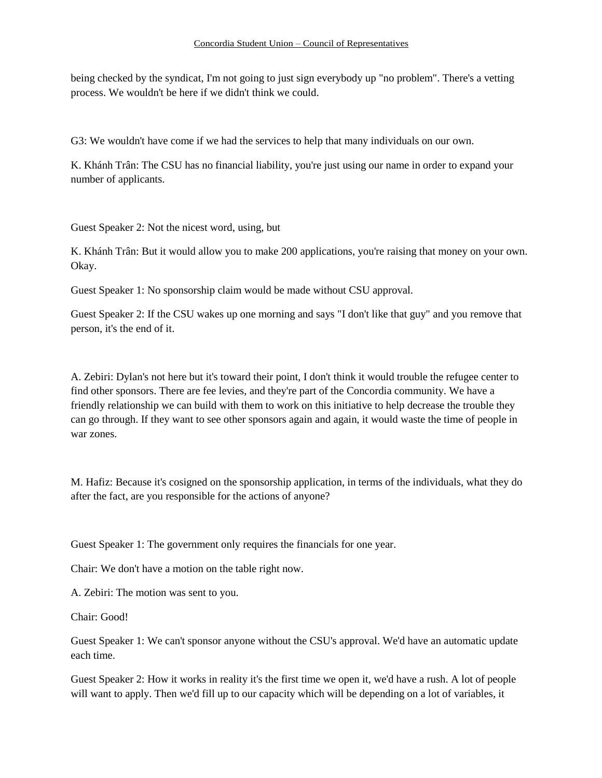being checked by the syndicat, I'm not going to just sign everybody up "no problem". There's a vetting process. We wouldn't be here if we didn't think we could.

G3: We wouldn't have come if we had the services to help that many individuals on our own.

K. Khánh Trân: The CSU has no financial liability, you're just using our name in order to expand your number of applicants.

Guest Speaker 2: Not the nicest word, using, but

K. Khánh Trân: But it would allow you to make 200 applications, you're raising that money on your own. Okay.

Guest Speaker 1: No sponsorship claim would be made without CSU approval.

Guest Speaker 2: If the CSU wakes up one morning and says "I don't like that guy" and you remove that person, it's the end of it.

A. Zebiri: Dylan's not here but it's toward their point, I don't think it would trouble the refugee center to find other sponsors. There are fee levies, and they're part of the Concordia community. We have a friendly relationship we can build with them to work on this initiative to help decrease the trouble they can go through. If they want to see other sponsors again and again, it would waste the time of people in war zones.

M. Hafiz: Because it's cosigned on the sponsorship application, in terms of the individuals, what they do after the fact, are you responsible for the actions of anyone?

Guest Speaker 1: The government only requires the financials for one year.

Chair: We don't have a motion on the table right now.

A. Zebiri: The motion was sent to you.

Chair: Good!

Guest Speaker 1: We can't sponsor anyone without the CSU's approval. We'd have an automatic update each time.

Guest Speaker 2: How it works in reality it's the first time we open it, we'd have a rush. A lot of people will want to apply. Then we'd fill up to our capacity which will be depending on a lot of variables, it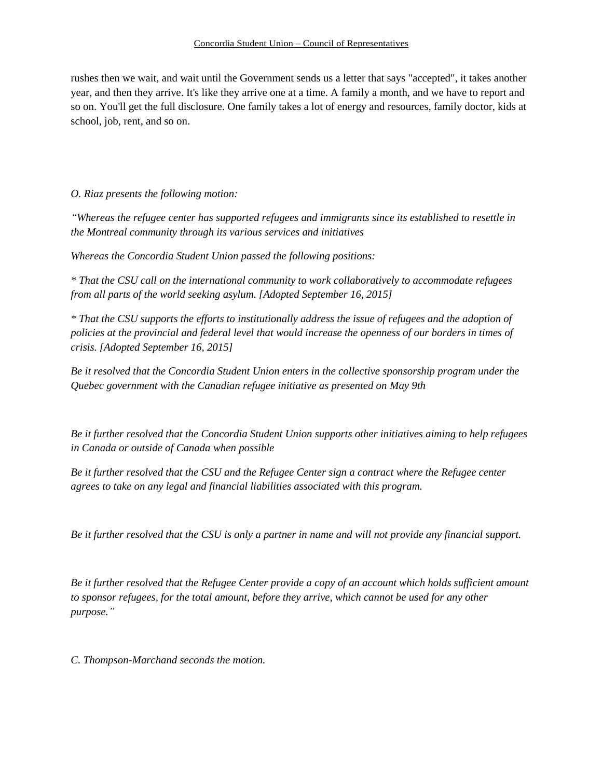rushes then we wait, and wait until the Government sends us a letter that says "accepted", it takes another year, and then they arrive. It's like they arrive one at a time. A family a month, and we have to report and so on. You'll get the full disclosure. One family takes a lot of energy and resources, family doctor, kids at school, job, rent, and so on.

*O. Riaz presents the following motion:*

*"Whereas the refugee center has supported refugees and immigrants since its established to resettle in the Montreal community through its various services and initiatives*

*Whereas the Concordia Student Union passed the following positions:* 

*\* That the CSU call on the international community to work collaboratively to accommodate refugees from all parts of the world seeking asylum. [Adopted September 16, 2015]* 

*\* That the CSU supports the efforts to institutionally address the issue of refugees and the adoption of policies at the provincial and federal level that would increase the openness of our borders in times of crisis. [Adopted September 16, 2015]* 

*Be it resolved that the Concordia Student Union enters in the collective sponsorship program under the Quebec government with the Canadian refugee initiative as presented on May 9th*

*Be it further resolved that the Concordia Student Union supports other initiatives aiming to help refugees in Canada or outside of Canada when possible*

*Be it further resolved that the CSU and the Refugee Center sign a contract where the Refugee center agrees to take on any legal and financial liabilities associated with this program.* 

*Be it further resolved that the CSU is only a partner in name and will not provide any financial support.* 

*Be it further resolved that the Refugee Center provide a copy of an account which holds sufficient amount to sponsor refugees, for the total amount, before they arrive, which cannot be used for any other purpose."*

*C. Thompson-Marchand seconds the motion.*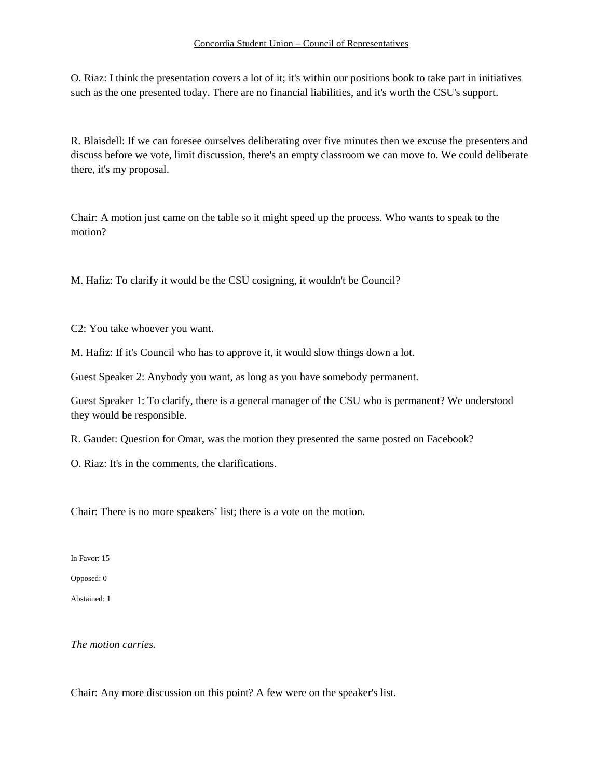O. Riaz: I think the presentation covers a lot of it; it's within our positions book to take part in initiatives such as the one presented today. There are no financial liabilities, and it's worth the CSU's support.

R. Blaisdell: If we can foresee ourselves deliberating over five minutes then we excuse the presenters and discuss before we vote, limit discussion, there's an empty classroom we can move to. We could deliberate there, it's my proposal.

Chair: A motion just came on the table so it might speed up the process. Who wants to speak to the motion?

M. Hafiz: To clarify it would be the CSU cosigning, it wouldn't be Council?

C2: You take whoever you want.

M. Hafiz: If it's Council who has to approve it, it would slow things down a lot.

Guest Speaker 2: Anybody you want, as long as you have somebody permanent.

Guest Speaker 1: To clarify, there is a general manager of the CSU who is permanent? We understood they would be responsible.

R. Gaudet: Question for Omar, was the motion they presented the same posted on Facebook?

O. Riaz: It's in the comments, the clarifications.

Chair: There is no more speakers' list; there is a vote on the motion.

In Favor: 15

Opposed: 0

Abstained: 1

*The motion carries.*

Chair: Any more discussion on this point? A few were on the speaker's list.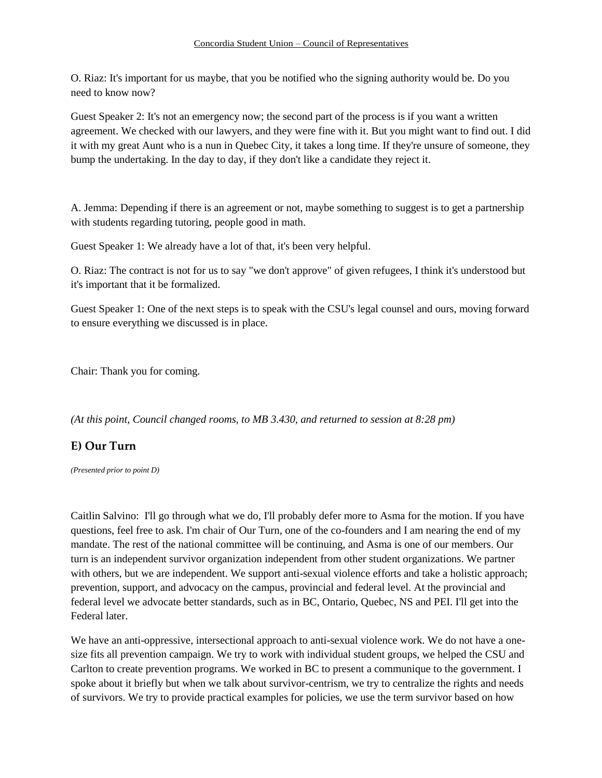O. Riaz: It's important for us maybe, that you be notified who the signing authority would be. Do you need to know now?

Guest Speaker 2: It's not an emergency now; the second part of the process is if you want a written agreement. We checked with our lawyers, and they were fine with it. But you might want to find out. I did it with my great Aunt who is a nun in Quebec City, it takes a long time. If they're unsure of someone, they bump the undertaking. In the day to day, if they don't like a candidate they reject it.

A. Jemma: Depending if there is an agreement or not, maybe something to suggest is to get a partnership with students regarding tutoring, people good in math.

Guest Speaker 1: We already have a lot of that, it's been very helpful.

O. Riaz: The contract is not for us to say "we don't approve" of given refugees, I think it's understood but it's important that it be formalized.

Guest Speaker 1: One of the next steps is to speak with the CSU's legal counsel and ours, moving forward to ensure everything we discussed is in place.

Chair: Thank you for coming.

*(At this point, Council changed rooms, to MB 3.430, and returned to session at 8:28 pm)* 

# **E) Our Turn**

*(Presented prior to point D)* 

Caitlin Salvino: I'll go through what we do, I'll probably defer more to Asma for the motion. If you have questions, feel free to ask. I'm chair of Our Turn, one of the co-founders and I am nearing the end of my mandate. The rest of the national committee will be continuing, and Asma is one of our members. Our turn is an independent survivor organization independent from other student organizations. We partner with others, but we are independent. We support anti-sexual violence efforts and take a holistic approach; prevention, support, and advocacy on the campus, provincial and federal level. At the provincial and federal level we advocate better standards, such as in BC, Ontario, Quebec, NS and PEI. I'll get into the Federal later.

We have an anti-oppressive, intersectional approach to anti-sexual violence work. We do not have a onesize fits all prevention campaign. We try to work with individual student groups, we helped the CSU and Carlton to create prevention programs. We worked in BC to present a communique to the government. I spoke about it briefly but when we talk about survivor-centrism, we try to centralize the rights and needs of survivors. We try to provide practical examples for policies, we use the term survivor based on how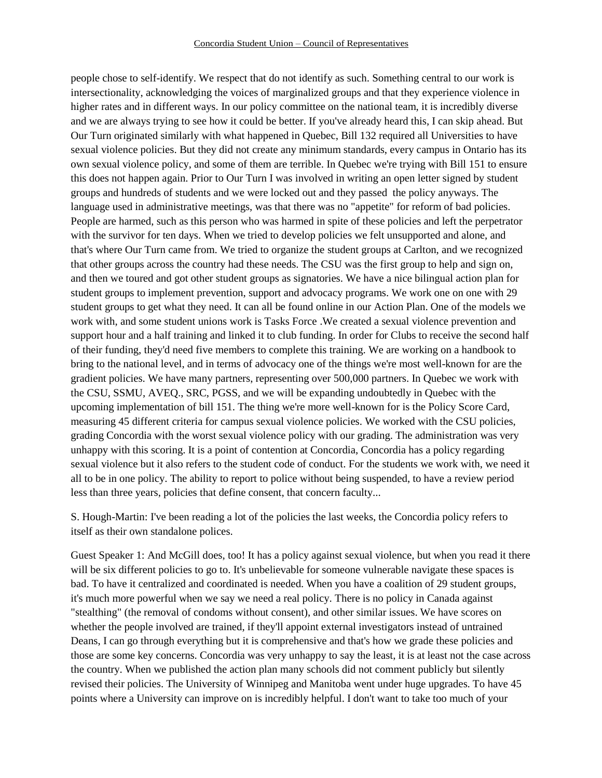people chose to self-identify. We respect that do not identify as such. Something central to our work is intersectionality, acknowledging the voices of marginalized groups and that they experience violence in higher rates and in different ways. In our policy committee on the national team, it is incredibly diverse and we are always trying to see how it could be better. If you've already heard this, I can skip ahead. But Our Turn originated similarly with what happened in Quebec, Bill 132 required all Universities to have sexual violence policies. But they did not create any minimum standards, every campus in Ontario has its own sexual violence policy, and some of them are terrible. In Quebec we're trying with Bill 151 to ensure this does not happen again. Prior to Our Turn I was involved in writing an open letter signed by student groups and hundreds of students and we were locked out and they passed the policy anyways. The language used in administrative meetings, was that there was no "appetite" for reform of bad policies. People are harmed, such as this person who was harmed in spite of these policies and left the perpetrator with the survivor for ten days. When we tried to develop policies we felt unsupported and alone, and that's where Our Turn came from. We tried to organize the student groups at Carlton, and we recognized that other groups across the country had these needs. The CSU was the first group to help and sign on, and then we toured and got other student groups as signatories. We have a nice bilingual action plan for student groups to implement prevention, support and advocacy programs. We work one on one with 29 student groups to get what they need. It can all be found online in our Action Plan. One of the models we work with, and some student unions work is Tasks Force .We created a sexual violence prevention and support hour and a half training and linked it to club funding. In order for Clubs to receive the second half of their funding, they'd need five members to complete this training. We are working on a handbook to bring to the national level, and in terms of advocacy one of the things we're most well-known for are the gradient policies. We have many partners, representing over 500,000 partners. In Quebec we work with the CSU, SSMU, AVEQ., SRC, PGSS, and we will be expanding undoubtedly in Quebec with the upcoming implementation of bill 151. The thing we're more well-known for is the Policy Score Card, measuring 45 different criteria for campus sexual violence policies. We worked with the CSU policies, grading Concordia with the worst sexual violence policy with our grading. The administration was very unhappy with this scoring. It is a point of contention at Concordia, Concordia has a policy regarding sexual violence but it also refers to the student code of conduct. For the students we work with, we need it all to be in one policy. The ability to report to police without being suspended, to have a review period less than three years, policies that define consent, that concern faculty...

S. Hough-Martin: I've been reading a lot of the policies the last weeks, the Concordia policy refers to itself as their own standalone polices.

Guest Speaker 1: And McGill does, too! It has a policy against sexual violence, but when you read it there will be six different policies to go to. It's unbelievable for someone vulnerable navigate these spaces is bad. To have it centralized and coordinated is needed. When you have a coalition of 29 student groups, it's much more powerful when we say we need a real policy. There is no policy in Canada against "stealthing" (the removal of condoms without consent), and other similar issues. We have scores on whether the people involved are trained, if they'll appoint external investigators instead of untrained Deans, I can go through everything but it is comprehensive and that's how we grade these policies and those are some key concerns. Concordia was very unhappy to say the least, it is at least not the case across the country. When we published the action plan many schools did not comment publicly but silently revised their policies. The University of Winnipeg and Manitoba went under huge upgrades. To have 45 points where a University can improve on is incredibly helpful. I don't want to take too much of your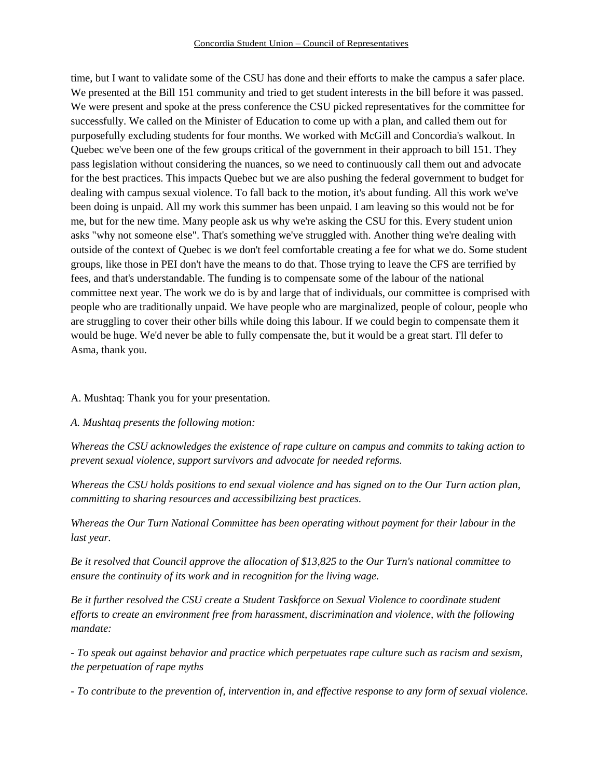time, but I want to validate some of the CSU has done and their efforts to make the campus a safer place. We presented at the Bill 151 community and tried to get student interests in the bill before it was passed. We were present and spoke at the press conference the CSU picked representatives for the committee for successfully. We called on the Minister of Education to come up with a plan, and called them out for purposefully excluding students for four months. We worked with McGill and Concordia's walkout. In Quebec we've been one of the few groups critical of the government in their approach to bill 151. They pass legislation without considering the nuances, so we need to continuously call them out and advocate for the best practices. This impacts Quebec but we are also pushing the federal government to budget for dealing with campus sexual violence. To fall back to the motion, it's about funding. All this work we've been doing is unpaid. All my work this summer has been unpaid. I am leaving so this would not be for me, but for the new time. Many people ask us why we're asking the CSU for this. Every student union asks "why not someone else". That's something we've struggled with. Another thing we're dealing with outside of the context of Quebec is we don't feel comfortable creating a fee for what we do. Some student groups, like those in PEI don't have the means to do that. Those trying to leave the CFS are terrified by fees, and that's understandable. The funding is to compensate some of the labour of the national committee next year. The work we do is by and large that of individuals, our committee is comprised with people who are traditionally unpaid. We have people who are marginalized, people of colour, people who are struggling to cover their other bills while doing this labour. If we could begin to compensate them it would be huge. We'd never be able to fully compensate the, but it would be a great start. I'll defer to Asma, thank you.

### A. Mushtaq: Thank you for your presentation.

### *A. Mushtaq presents the following motion:*

*Whereas the CSU acknowledges the existence of rape culture on campus and commits to taking action to prevent sexual violence, support survivors and advocate for needed reforms.*

*Whereas the CSU holds positions to end sexual violence and has signed on to the Our Turn action plan, committing to sharing resources and accessibilizing best practices.*

*Whereas the Our Turn National Committee has been operating without payment for their labour in the last year.* 

*Be it resolved that Council approve the allocation of \$13,825 to the Our Turn's national committee to ensure the continuity of its work and in recognition for the living wage.*

*Be it further resolved the CSU create a Student Taskforce on Sexual Violence to coordinate student efforts to create an environment free from harassment, discrimination and violence, with the following mandate:* 

*- To speak out against behavior and practice which perpetuates rape culture such as racism and sexism, the perpetuation of rape myths*

*- To contribute to the prevention of, intervention in, and effective response to any form of sexual violence.*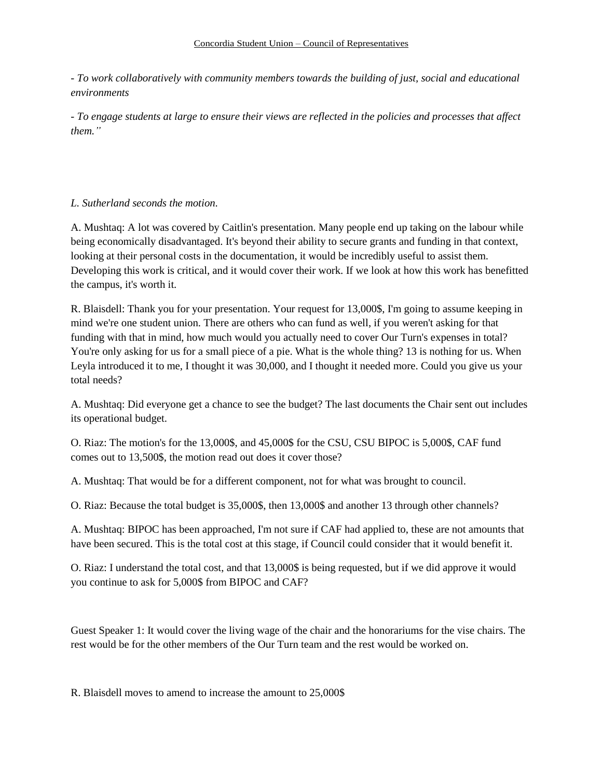#### Concordia Student Union – Council of Representatives

*- To work collaboratively with community members towards the building of just, social and educational environments*

*- To engage students at large to ensure their views are reflected in the policies and processes that affect them."*

## *L. Sutherland seconds the motion.*

A. Mushtaq: A lot was covered by Caitlin's presentation. Many people end up taking on the labour while being economically disadvantaged. It's beyond their ability to secure grants and funding in that context, looking at their personal costs in the documentation, it would be incredibly useful to assist them. Developing this work is critical, and it would cover their work. If we look at how this work has benefitted the campus, it's worth it.

R. Blaisdell: Thank you for your presentation. Your request for 13,000\$, I'm going to assume keeping in mind we're one student union. There are others who can fund as well, if you weren't asking for that funding with that in mind, how much would you actually need to cover Our Turn's expenses in total? You're only asking for us for a small piece of a pie. What is the whole thing? 13 is nothing for us. When Leyla introduced it to me, I thought it was 30,000, and I thought it needed more. Could you give us your total needs?

A. Mushtaq: Did everyone get a chance to see the budget? The last documents the Chair sent out includes its operational budget.

O. Riaz: The motion's for the 13,000\$, and 45,000\$ for the CSU, CSU BIPOC is 5,000\$, CAF fund comes out to 13,500\$, the motion read out does it cover those?

A. Mushtaq: That would be for a different component, not for what was brought to council.

O. Riaz: Because the total budget is 35,000\$, then 13,000\$ and another 13 through other channels?

A. Mushtaq: BIPOC has been approached, I'm not sure if CAF had applied to, these are not amounts that have been secured. This is the total cost at this stage, if Council could consider that it would benefit it.

O. Riaz: I understand the total cost, and that 13,000\$ is being requested, but if we did approve it would you continue to ask for 5,000\$ from BIPOC and CAF?

Guest Speaker 1: It would cover the living wage of the chair and the honorariums for the vise chairs. The rest would be for the other members of the Our Turn team and the rest would be worked on.

R. Blaisdell moves to amend to increase the amount to 25,000\$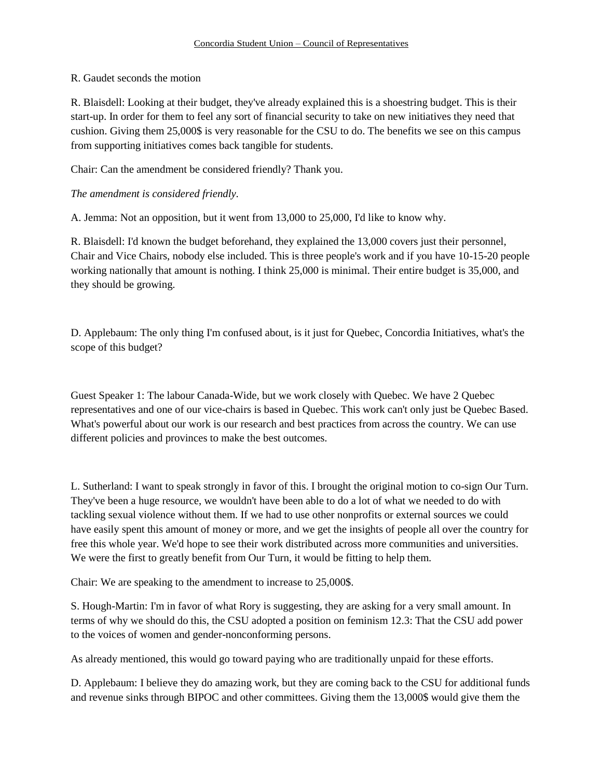### R. Gaudet seconds the motion

R. Blaisdell: Looking at their budget, they've already explained this is a shoestring budget. This is their start-up. In order for them to feel any sort of financial security to take on new initiatives they need that cushion. Giving them 25,000\$ is very reasonable for the CSU to do. The benefits we see on this campus from supporting initiatives comes back tangible for students.

Chair: Can the amendment be considered friendly? Thank you.

## *The amendment is considered friendly.*

A. Jemma: Not an opposition, but it went from 13,000 to 25,000, I'd like to know why.

R. Blaisdell: I'd known the budget beforehand, they explained the 13,000 covers just their personnel, Chair and Vice Chairs, nobody else included. This is three people's work and if you have 10-15-20 people working nationally that amount is nothing. I think 25,000 is minimal. Their entire budget is 35,000, and they should be growing.

D. Applebaum: The only thing I'm confused about, is it just for Quebec, Concordia Initiatives, what's the scope of this budget?

Guest Speaker 1: The labour Canada-Wide, but we work closely with Quebec. We have 2 Quebec representatives and one of our vice-chairs is based in Quebec. This work can't only just be Quebec Based. What's powerful about our work is our research and best practices from across the country. We can use different policies and provinces to make the best outcomes.

L. Sutherland: I want to speak strongly in favor of this. I brought the original motion to co-sign Our Turn. They've been a huge resource, we wouldn't have been able to do a lot of what we needed to do with tackling sexual violence without them. If we had to use other nonprofits or external sources we could have easily spent this amount of money or more, and we get the insights of people all over the country for free this whole year. We'd hope to see their work distributed across more communities and universities. We were the first to greatly benefit from Our Turn, it would be fitting to help them.

Chair: We are speaking to the amendment to increase to 25,000\$.

S. Hough-Martin: I'm in favor of what Rory is suggesting, they are asking for a very small amount. In terms of why we should do this, the CSU adopted a position on feminism 12.3: That the CSU add power to the voices of women and gender-nonconforming persons.

As already mentioned, this would go toward paying who are traditionally unpaid for these efforts.

D. Applebaum: I believe they do amazing work, but they are coming back to the CSU for additional funds and revenue sinks through BIPOC and other committees. Giving them the 13,000\$ would give them the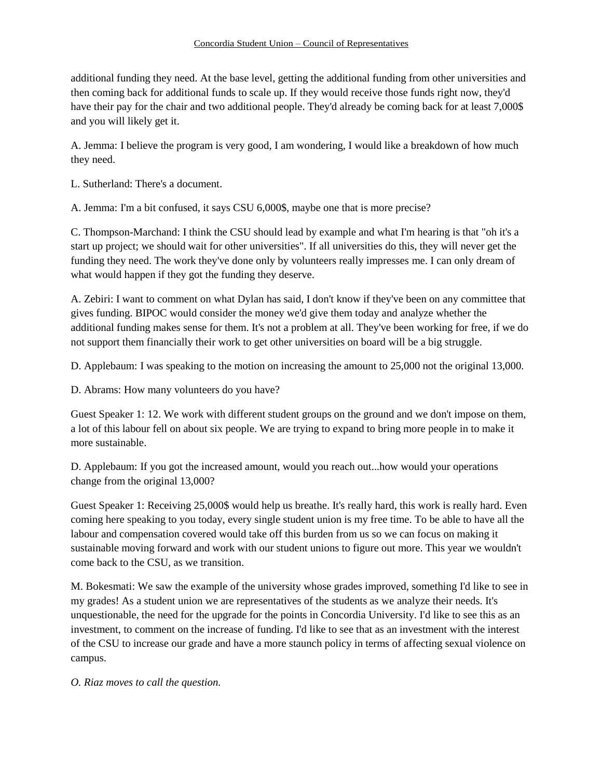additional funding they need. At the base level, getting the additional funding from other universities and then coming back for additional funds to scale up. If they would receive those funds right now, they'd have their pay for the chair and two additional people. They'd already be coming back for at least 7,000\$ and you will likely get it.

A. Jemma: I believe the program is very good, I am wondering, I would like a breakdown of how much they need.

L. Sutherland: There's a document.

A. Jemma: I'm a bit confused, it says CSU 6,000\$, maybe one that is more precise?

C. Thompson-Marchand: I think the CSU should lead by example and what I'm hearing is that "oh it's a start up project; we should wait for other universities". If all universities do this, they will never get the funding they need. The work they've done only by volunteers really impresses me. I can only dream of what would happen if they got the funding they deserve.

A. Zebiri: I want to comment on what Dylan has said, I don't know if they've been on any committee that gives funding. BIPOC would consider the money we'd give them today and analyze whether the additional funding makes sense for them. It's not a problem at all. They've been working for free, if we do not support them financially their work to get other universities on board will be a big struggle.

D. Applebaum: I was speaking to the motion on increasing the amount to 25,000 not the original 13,000.

D. Abrams: How many volunteers do you have?

Guest Speaker 1: 12. We work with different student groups on the ground and we don't impose on them, a lot of this labour fell on about six people. We are trying to expand to bring more people in to make it more sustainable.

D. Applebaum: If you got the increased amount, would you reach out...how would your operations change from the original 13,000?

Guest Speaker 1: Receiving 25,000\$ would help us breathe. It's really hard, this work is really hard. Even coming here speaking to you today, every single student union is my free time. To be able to have all the labour and compensation covered would take off this burden from us so we can focus on making it sustainable moving forward and work with our student unions to figure out more. This year we wouldn't come back to the CSU, as we transition.

M. Bokesmati: We saw the example of the university whose grades improved, something I'd like to see in my grades! As a student union we are representatives of the students as we analyze their needs. It's unquestionable, the need for the upgrade for the points in Concordia University. I'd like to see this as an investment, to comment on the increase of funding. I'd like to see that as an investment with the interest of the CSU to increase our grade and have a more staunch policy in terms of affecting sexual violence on campus.

*O. Riaz moves to call the question.*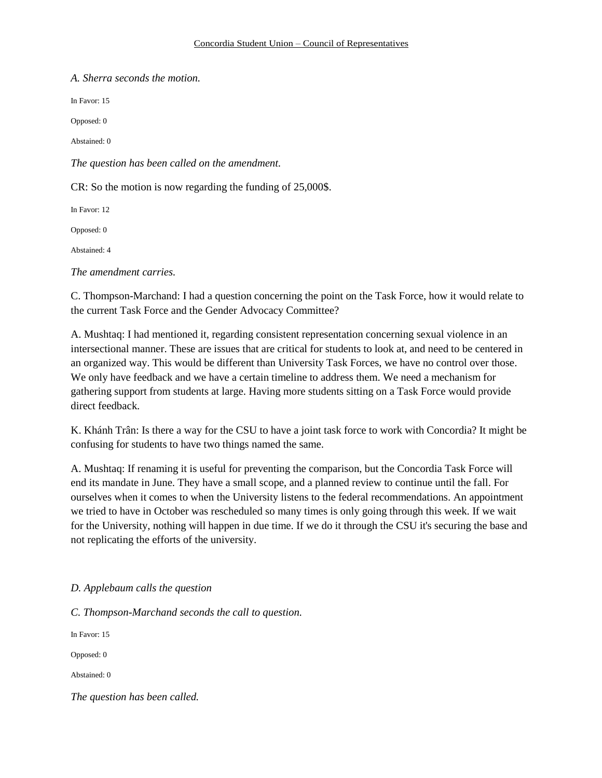*A. Sherra seconds the motion.*

In Favor: 15

Opposed: 0

Abstained: 0

*The question has been called on the amendment.*

CR: So the motion is now regarding the funding of 25,000\$.

In Favor: 12

Opposed: 0

Abstained: 4

*The amendment carries.* 

C. Thompson-Marchand: I had a question concerning the point on the Task Force, how it would relate to the current Task Force and the Gender Advocacy Committee?

A. Mushtaq: I had mentioned it, regarding consistent representation concerning sexual violence in an intersectional manner. These are issues that are critical for students to look at, and need to be centered in an organized way. This would be different than University Task Forces, we have no control over those. We only have feedback and we have a certain timeline to address them. We need a mechanism for gathering support from students at large. Having more students sitting on a Task Force would provide direct feedback.

K. Khánh Trân: Is there a way for the CSU to have a joint task force to work with Concordia? It might be confusing for students to have two things named the same.

A. Mushtaq: If renaming it is useful for preventing the comparison, but the Concordia Task Force will end its mandate in June. They have a small scope, and a planned review to continue until the fall. For ourselves when it comes to when the University listens to the federal recommendations. An appointment we tried to have in October was rescheduled so many times is only going through this week. If we wait for the University, nothing will happen in due time. If we do it through the CSU it's securing the base and not replicating the efforts of the university.

### *D. Applebaum calls the question*

*C. Thompson-Marchand seconds the call to question.*

In Favor: 15

Opposed: 0

Abstained: 0

*The question has been called.*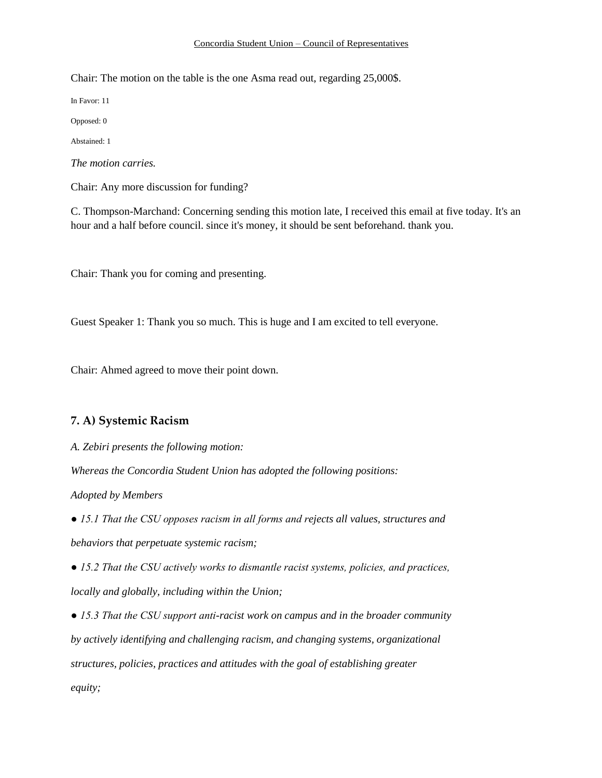#### Concordia Student Union – Council of Representatives

Chair: The motion on the table is the one Asma read out, regarding 25,000\$.

In Favor: 11

Opposed: 0

Abstained: 1

*The motion carries.*

Chair: Any more discussion for funding?

C. Thompson-Marchand: Concerning sending this motion late, I received this email at five today. It's an hour and a half before council. since it's money, it should be sent beforehand. thank you.

Chair: Thank you for coming and presenting.

Guest Speaker 1: Thank you so much. This is huge and I am excited to tell everyone.

Chair: Ahmed agreed to move their point down.

### **7. A) Systemic Racism**

*A. Zebiri presents the following motion:*

*Whereas the Concordia Student Union has adopted the following positions:*

*Adopted by Members*

*● 15.1 That the CSU opposes racism in all forms and rejects all values, structures and behaviors that perpetuate systemic racism;*

*● 15.2 That the CSU actively works to dismantle racist systems, policies, and practices, locally and globally, including within the Union;*

*● 15.3 That the CSU support anti-racist work on campus and in the broader community by actively identifying and challenging racism, and changing systems, organizational structures, policies, practices and attitudes with the goal of establishing greater equity;*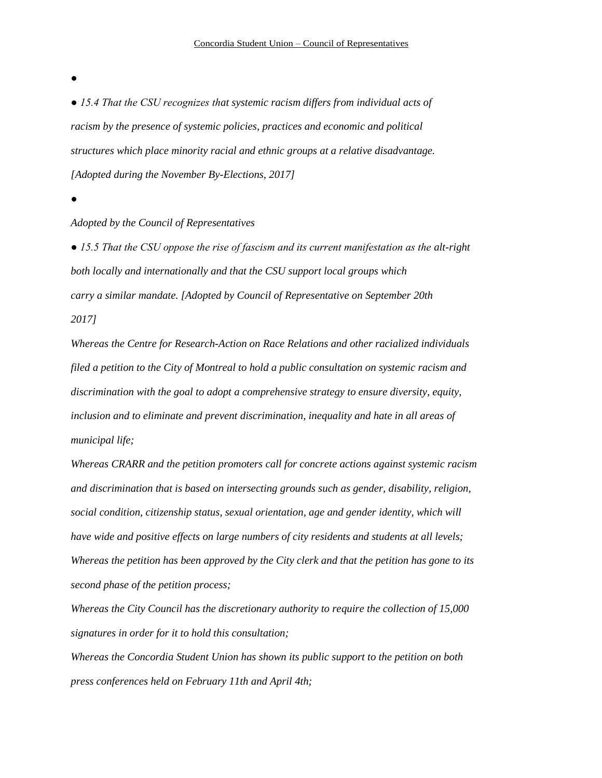*●*

*● 15.4 That the CSU recognizes that systemic racism differs from individual acts of racism by the presence of systemic policies, practices and economic and political structures which place minority racial and ethnic groups at a relative disadvantage. [Adopted during the November By-Elections, 2017]*

*●*

#### *Adopted by the Council of Representatives*

*● 15.5 That the CSU oppose the rise of fascism and its current manifestation as the alt-right both locally and internationally and that the CSU support local groups which carry a similar mandate. [Adopted by Council of Representative on September 20th 2017]*

*Whereas the Centre for Research-Action on Race Relations and other racialized individuals filed a petition to the City of Montreal to hold a public consultation on systemic racism and discrimination with the goal to adopt a comprehensive strategy to ensure diversity, equity, inclusion and to eliminate and prevent discrimination, inequality and hate in all areas of municipal life;*

*Whereas CRARR and the petition promoters call for concrete actions against systemic racism and discrimination that is based on intersecting grounds such as gender, disability, religion, social condition, citizenship status, sexual orientation, age and gender identity, which will have wide and positive effects on large numbers of city residents and students at all levels; Whereas the petition has been approved by the City clerk and that the petition has gone to its second phase of the petition process;*

*Whereas the City Council has the discretionary authority to require the collection of 15,000 signatures in order for it to hold this consultation;*

*Whereas the Concordia Student Union has shown its public support to the petition on both press conferences held on February 11th and April 4th;*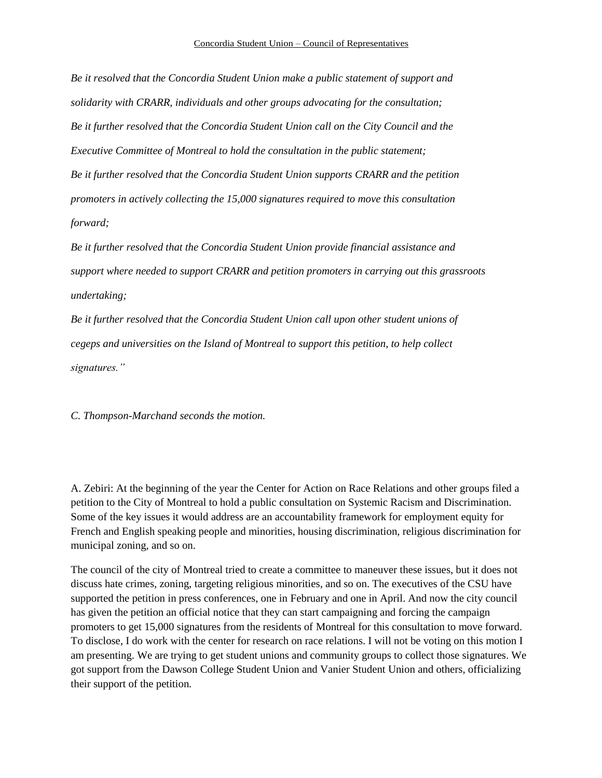*Be it resolved that the Concordia Student Union make a public statement of support and solidarity with CRARR, individuals and other groups advocating for the consultation; Be it further resolved that the Concordia Student Union call on the City Council and the Executive Committee of Montreal to hold the consultation in the public statement; Be it further resolved that the Concordia Student Union supports CRARR and the petition promoters in actively collecting the 15,000 signatures required to move this consultation forward;*

*Be it further resolved that the Concordia Student Union provide financial assistance and support where needed to support CRARR and petition promoters in carrying out this grassroots undertaking;*

*Be it further resolved that the Concordia Student Union call upon other student unions of cegeps and universities on the Island of Montreal to support this petition, to help collect signatures."*

*C. Thompson-Marchand seconds the motion.*

A. Zebiri: At the beginning of the year the Center for Action on Race Relations and other groups filed a petition to the City of Montreal to hold a public consultation on Systemic Racism and Discrimination. Some of the key issues it would address are an accountability framework for employment equity for French and English speaking people and minorities, housing discrimination, religious discrimination for municipal zoning, and so on.

The council of the city of Montreal tried to create a committee to maneuver these issues, but it does not discuss hate crimes, zoning, targeting religious minorities, and so on. The executives of the CSU have supported the petition in press conferences, one in February and one in April. And now the city council has given the petition an official notice that they can start campaigning and forcing the campaign promoters to get 15,000 signatures from the residents of Montreal for this consultation to move forward. To disclose, I do work with the center for research on race relations. I will not be voting on this motion I am presenting. We are trying to get student unions and community groups to collect those signatures. We got support from the Dawson College Student Union and Vanier Student Union and others, officializing their support of the petition.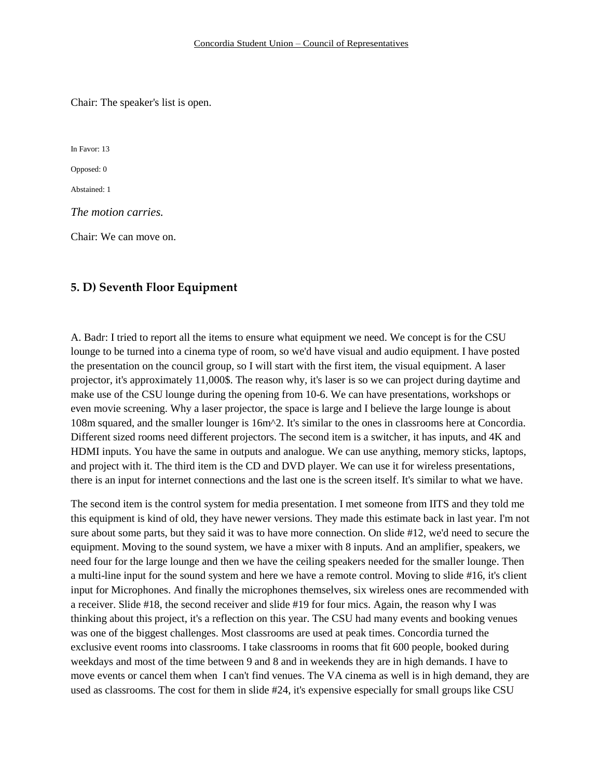Chair: The speaker's list is open.

In Favor: 13

Opposed: 0

Abstained: 1

*The motion carries.* 

Chair: We can move on.

#### **5. D) Seventh Floor Equipment**

A. Badr: I tried to report all the items to ensure what equipment we need. We concept is for the CSU lounge to be turned into a cinema type of room, so we'd have visual and audio equipment. I have posted the presentation on the council group, so I will start with the first item, the visual equipment. A laser projector, it's approximately 11,000\$. The reason why, it's laser is so we can project during daytime and make use of the CSU lounge during the opening from 10-6. We can have presentations, workshops or even movie screening. Why a laser projector, the space is large and I believe the large lounge is about 108m squared, and the smaller lounger is 16m^2. It's similar to the ones in classrooms here at Concordia. Different sized rooms need different projectors. The second item is a switcher, it has inputs, and 4K and HDMI inputs. You have the same in outputs and analogue. We can use anything, memory sticks, laptops, and project with it. The third item is the CD and DVD player. We can use it for wireless presentations, there is an input for internet connections and the last one is the screen itself. It's similar to what we have.

The second item is the control system for media presentation. I met someone from IITS and they told me this equipment is kind of old, they have newer versions. They made this estimate back in last year. I'm not sure about some parts, but they said it was to have more connection. On slide #12, we'd need to secure the equipment. Moving to the sound system, we have a mixer with 8 inputs. And an amplifier, speakers, we need four for the large lounge and then we have the ceiling speakers needed for the smaller lounge. Then a multi-line input for the sound system and here we have a remote control. Moving to slide #16, it's client input for Microphones. And finally the microphones themselves, six wireless ones are recommended with a receiver. Slide #18, the second receiver and slide #19 for four mics. Again, the reason why I was thinking about this project, it's a reflection on this year. The CSU had many events and booking venues was one of the biggest challenges. Most classrooms are used at peak times. Concordia turned the exclusive event rooms into classrooms. I take classrooms in rooms that fit 600 people, booked during weekdays and most of the time between 9 and 8 and in weekends they are in high demands. I have to move events or cancel them when I can't find venues. The VA cinema as well is in high demand, they are used as classrooms. The cost for them in slide #24, it's expensive especially for small groups like CSU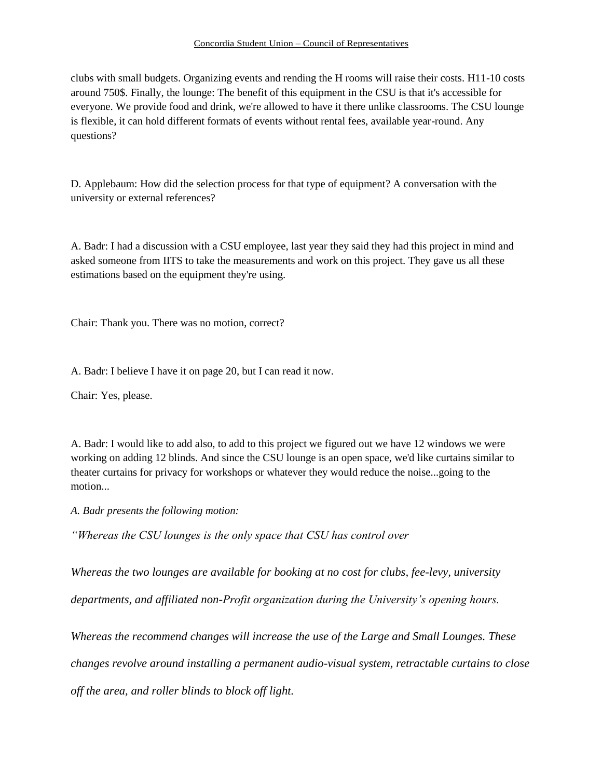clubs with small budgets. Organizing events and rending the H rooms will raise their costs. H11-10 costs around 750\$. Finally, the lounge: The benefit of this equipment in the CSU is that it's accessible for everyone. We provide food and drink, we're allowed to have it there unlike classrooms. The CSU lounge is flexible, it can hold different formats of events without rental fees, available year-round. Any questions?

D. Applebaum: How did the selection process for that type of equipment? A conversation with the university or external references?

A. Badr: I had a discussion with a CSU employee, last year they said they had this project in mind and asked someone from IITS to take the measurements and work on this project. They gave us all these estimations based on the equipment they're using.

Chair: Thank you. There was no motion, correct?

A. Badr: I believe I have it on page 20, but I can read it now.

Chair: Yes, please.

A. Badr: I would like to add also, to add to this project we figured out we have 12 windows we were working on adding 12 blinds. And since the CSU lounge is an open space, we'd like curtains similar to theater curtains for privacy for workshops or whatever they would reduce the noise...going to the motion...

*A. Badr presents the following motion:* 

*"Whereas the CSU lounges is the only space that CSU has control over* 

*Whereas the two lounges are available for booking at no cost for clubs, fee-levy, university departments, and affiliated non-Profit organization during the University's opening hours.*

*Whereas the recommend changes will increase the use of the Large and Small Lounges. These* 

*changes revolve around installing a permanent audio-visual system, retractable curtains to close* 

*off the area, and roller blinds to block off light.*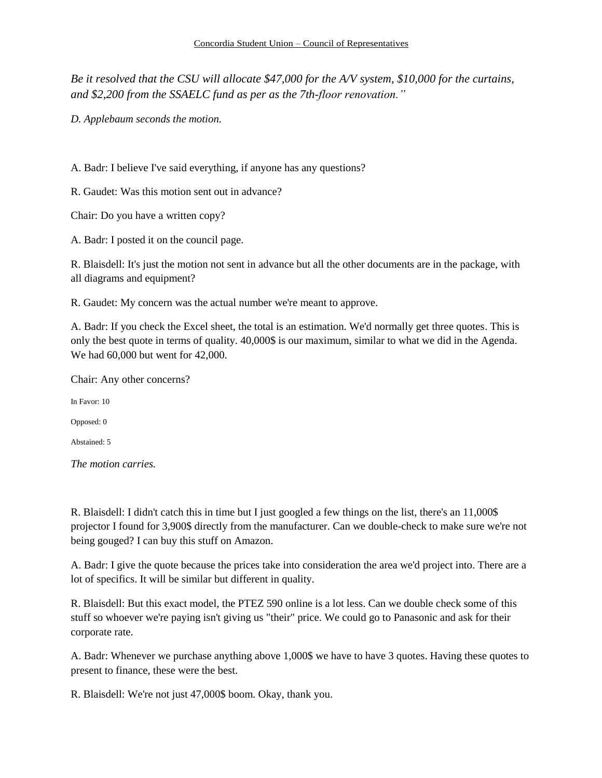*Be it resolved that the CSU will allocate \$47,000 for the A/V system, \$10,000 for the curtains, and \$2,200 from the SSAELC fund as per as the 7th-floor renovation."*

*D. Applebaum seconds the motion.*

A. Badr: I believe I've said everything, if anyone has any questions?

R. Gaudet: Was this motion sent out in advance?

Chair: Do you have a written copy?

A. Badr: I posted it on the council page.

R. Blaisdell: It's just the motion not sent in advance but all the other documents are in the package, with all diagrams and equipment?

R. Gaudet: My concern was the actual number we're meant to approve.

A. Badr: If you check the Excel sheet, the total is an estimation. We'd normally get three quotes. This is only the best quote in terms of quality. 40,000\$ is our maximum, similar to what we did in the Agenda. We had 60,000 but went for 42,000.

Chair: Any other concerns?

In Favor: 10

Opposed: 0

Abstained: 5

*The motion carries.* 

R. Blaisdell: I didn't catch this in time but I just googled a few things on the list, there's an 11,000\$ projector I found for 3,900\$ directly from the manufacturer. Can we double-check to make sure we're not being gouged? I can buy this stuff on Amazon.

A. Badr: I give the quote because the prices take into consideration the area we'd project into. There are a lot of specifics. It will be similar but different in quality.

R. Blaisdell: But this exact model, the PTEZ 590 online is a lot less. Can we double check some of this stuff so whoever we're paying isn't giving us "their" price. We could go to Panasonic and ask for their corporate rate.

A. Badr: Whenever we purchase anything above 1,000\$ we have to have 3 quotes. Having these quotes to present to finance, these were the best.

R. Blaisdell: We're not just 47,000\$ boom. Okay, thank you.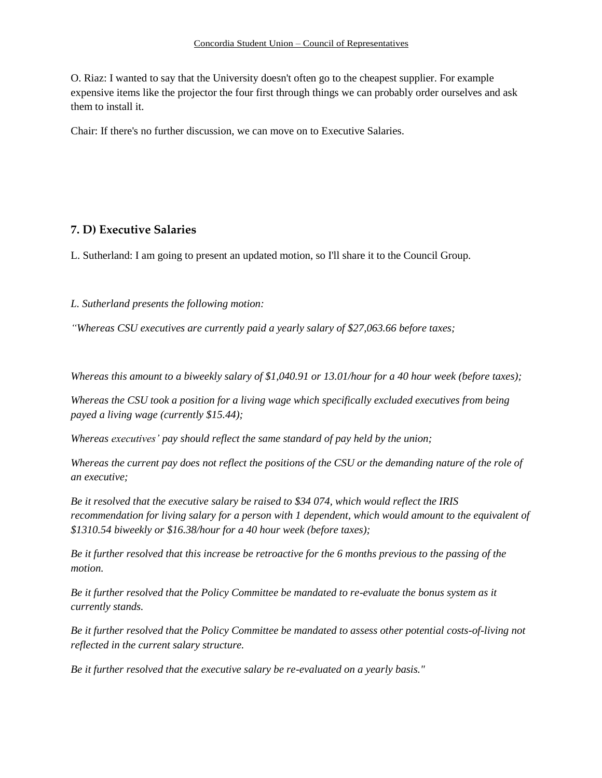O. Riaz: I wanted to say that the University doesn't often go to the cheapest supplier. For example expensive items like the projector the four first through things we can probably order ourselves and ask them to install it.

Chair: If there's no further discussion, we can move on to Executive Salaries.

# **7. D) Executive Salaries**

L. Sutherland: I am going to present an updated motion, so I'll share it to the Council Group.

*L. Sutherland presents the following motion:* 

*"Whereas CSU executives are currently paid a yearly salary of \$27,063.66 before taxes;*

*Whereas this amount to a biweekly salary of \$1,040.91 or 13.01/hour for a 40 hour week (before taxes);*

*Whereas the CSU took a position for a living wage which specifically excluded executives from being payed a living wage (currently \$15.44);*

*Whereas executives' pay should reflect the same standard of pay held by the union;*

*Whereas the current pay does not reflect the positions of the CSU or the demanding nature of the role of an executive;*

*Be it resolved that the executive salary be raised to \$34 074, which would reflect the IRIS recommendation for living salary for a person with 1 dependent, which would amount to the equivalent of \$1310.54 biweekly or \$16.38/hour for a 40 hour week (before taxes);*

*Be it further resolved that this increase be retroactive for the 6 months previous to the passing of the motion.*

*Be it further resolved that the Policy Committee be mandated to re-evaluate the bonus system as it currently stands.*

*Be it further resolved that the Policy Committee be mandated to assess other potential costs-of-living not reflected in the current salary structure.*

*Be it further resolved that the executive salary be re-evaluated on a yearly basis."*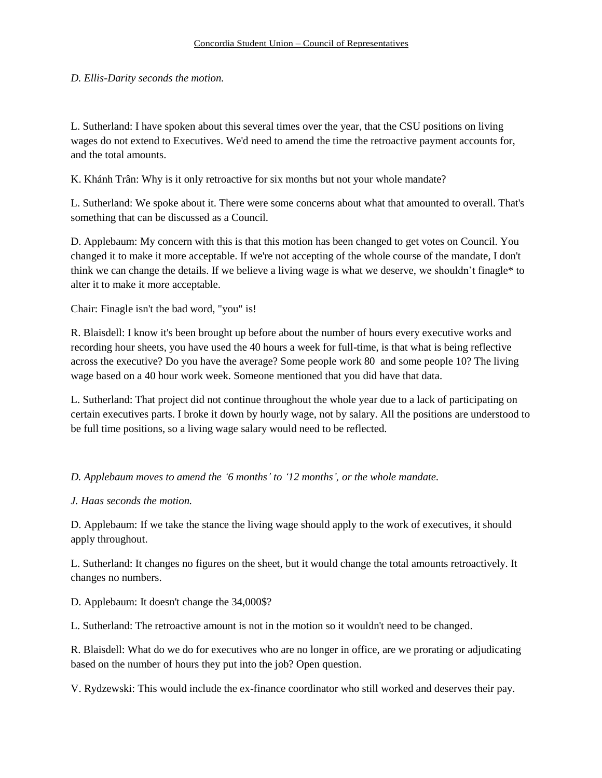## *D. Ellis-Darity seconds the motion.*

L. Sutherland: I have spoken about this several times over the year, that the CSU positions on living wages do not extend to Executives. We'd need to amend the time the retroactive payment accounts for, and the total amounts.

K. Khánh Trân: Why is it only retroactive for six months but not your whole mandate?

L. Sutherland: We spoke about it. There were some concerns about what that amounted to overall. That's something that can be discussed as a Council.

D. Applebaum: My concern with this is that this motion has been changed to get votes on Council. You changed it to make it more acceptable. If we're not accepting of the whole course of the mandate, I don't think we can change the details. If we believe a living wage is what we deserve, we shouldn't finagle\* to alter it to make it more acceptable.

Chair: Finagle isn't the bad word, "you" is!

R. Blaisdell: I know it's been brought up before about the number of hours every executive works and recording hour sheets, you have used the 40 hours a week for full-time, is that what is being reflective across the executive? Do you have the average? Some people work 80 and some people 10? The living wage based on a 40 hour work week. Someone mentioned that you did have that data.

L. Sutherland: That project did not continue throughout the whole year due to a lack of participating on certain executives parts. I broke it down by hourly wage, not by salary. All the positions are understood to be full time positions, so a living wage salary would need to be reflected.

### *D. Applebaum moves to amend the '6 months' to '12 months', or the whole mandate.*

### *J. Haas seconds the motion.*

D. Applebaum: If we take the stance the living wage should apply to the work of executives, it should apply throughout.

L. Sutherland: It changes no figures on the sheet, but it would change the total amounts retroactively. It changes no numbers.

D. Applebaum: It doesn't change the 34,000\$?

L. Sutherland: The retroactive amount is not in the motion so it wouldn't need to be changed.

R. Blaisdell: What do we do for executives who are no longer in office, are we prorating or adjudicating based on the number of hours they put into the job? Open question.

V. Rydzewski: This would include the ex-finance coordinator who still worked and deserves their pay.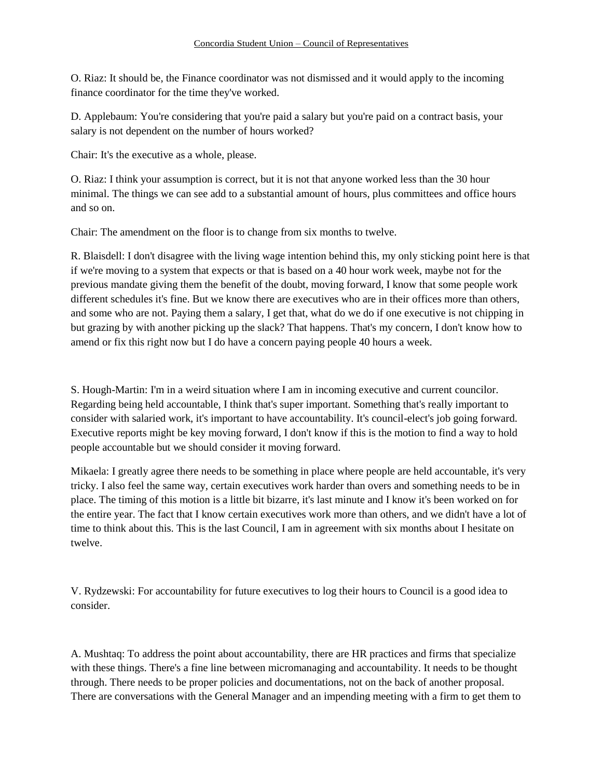O. Riaz: It should be, the Finance coordinator was not dismissed and it would apply to the incoming finance coordinator for the time they've worked.

D. Applebaum: You're considering that you're paid a salary but you're paid on a contract basis, your salary is not dependent on the number of hours worked?

Chair: It's the executive as a whole, please.

O. Riaz: I think your assumption is correct, but it is not that anyone worked less than the 30 hour minimal. The things we can see add to a substantial amount of hours, plus committees and office hours and so on.

Chair: The amendment on the floor is to change from six months to twelve.

R. Blaisdell: I don't disagree with the living wage intention behind this, my only sticking point here is that if we're moving to a system that expects or that is based on a 40 hour work week, maybe not for the previous mandate giving them the benefit of the doubt, moving forward, I know that some people work different schedules it's fine. But we know there are executives who are in their offices more than others, and some who are not. Paying them a salary, I get that, what do we do if one executive is not chipping in but grazing by with another picking up the slack? That happens. That's my concern, I don't know how to amend or fix this right now but I do have a concern paying people 40 hours a week.

S. Hough-Martin: I'm in a weird situation where I am in incoming executive and current councilor. Regarding being held accountable, I think that's super important. Something that's really important to consider with salaried work, it's important to have accountability. It's council-elect's job going forward. Executive reports might be key moving forward, I don't know if this is the motion to find a way to hold people accountable but we should consider it moving forward.

Mikaela: I greatly agree there needs to be something in place where people are held accountable, it's very tricky. I also feel the same way, certain executives work harder than overs and something needs to be in place. The timing of this motion is a little bit bizarre, it's last minute and I know it's been worked on for the entire year. The fact that I know certain executives work more than others, and we didn't have a lot of time to think about this. This is the last Council, I am in agreement with six months about I hesitate on twelve.

V. Rydzewski: For accountability for future executives to log their hours to Council is a good idea to consider.

A. Mushtaq: To address the point about accountability, there are HR practices and firms that specialize with these things. There's a fine line between micromanaging and accountability. It needs to be thought through. There needs to be proper policies and documentations, not on the back of another proposal. There are conversations with the General Manager and an impending meeting with a firm to get them to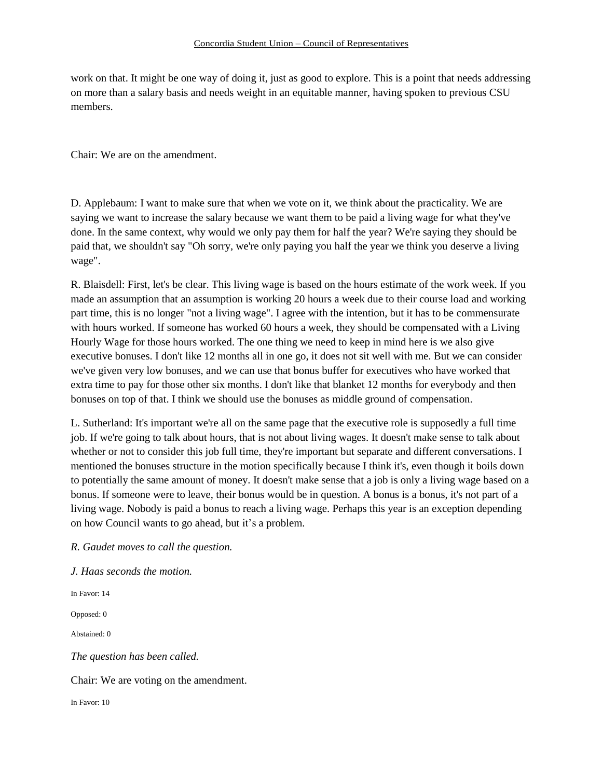work on that. It might be one way of doing it, just as good to explore. This is a point that needs addressing on more than a salary basis and needs weight in an equitable manner, having spoken to previous CSU members.

Chair: We are on the amendment.

D. Applebaum: I want to make sure that when we vote on it, we think about the practicality. We are saying we want to increase the salary because we want them to be paid a living wage for what they've done. In the same context, why would we only pay them for half the year? We're saying they should be paid that, we shouldn't say "Oh sorry, we're only paying you half the year we think you deserve a living wage".

R. Blaisdell: First, let's be clear. This living wage is based on the hours estimate of the work week. If you made an assumption that an assumption is working 20 hours a week due to their course load and working part time, this is no longer "not a living wage". I agree with the intention, but it has to be commensurate with hours worked. If someone has worked 60 hours a week, they should be compensated with a Living Hourly Wage for those hours worked. The one thing we need to keep in mind here is we also give executive bonuses. I don't like 12 months all in one go, it does not sit well with me. But we can consider we've given very low bonuses, and we can use that bonus buffer for executives who have worked that extra time to pay for those other six months. I don't like that blanket 12 months for everybody and then bonuses on top of that. I think we should use the bonuses as middle ground of compensation.

L. Sutherland: It's important we're all on the same page that the executive role is supposedly a full time job. If we're going to talk about hours, that is not about living wages. It doesn't make sense to talk about whether or not to consider this job full time, they're important but separate and different conversations. I mentioned the bonuses structure in the motion specifically because I think it's, even though it boils down to potentially the same amount of money. It doesn't make sense that a job is only a living wage based on a bonus. If someone were to leave, their bonus would be in question. A bonus is a bonus, it's not part of a living wage. Nobody is paid a bonus to reach a living wage. Perhaps this year is an exception depending on how Council wants to go ahead, but it's a problem.

*R. Gaudet moves to call the question.*

*J. Haas seconds the motion.*

In Favor: 14

Opposed: 0

Abstained: 0

*The question has been called.* 

Chair: We are voting on the amendment.

In Favor: 10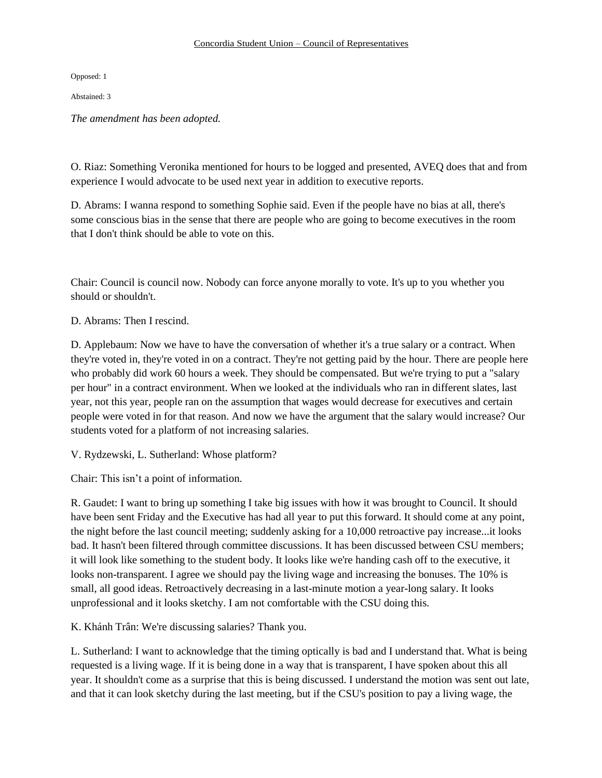Opposed: 1

Abstained: 3

*The amendment has been adopted.*

O. Riaz: Something Veronika mentioned for hours to be logged and presented, AVEQ does that and from experience I would advocate to be used next year in addition to executive reports.

D. Abrams: I wanna respond to something Sophie said. Even if the people have no bias at all, there's some conscious bias in the sense that there are people who are going to become executives in the room that I don't think should be able to vote on this.

Chair: Council is council now. Nobody can force anyone morally to vote. It's up to you whether you should or shouldn't.

D. Abrams: Then I rescind.

D. Applebaum: Now we have to have the conversation of whether it's a true salary or a contract. When they're voted in, they're voted in on a contract. They're not getting paid by the hour. There are people here who probably did work 60 hours a week. They should be compensated. But we're trying to put a "salary per hour" in a contract environment. When we looked at the individuals who ran in different slates, last year, not this year, people ran on the assumption that wages would decrease for executives and certain people were voted in for that reason. And now we have the argument that the salary would increase? Our students voted for a platform of not increasing salaries.

V. Rydzewski, L. Sutherland: Whose platform?

Chair: This isn't a point of information.

R. Gaudet: I want to bring up something I take big issues with how it was brought to Council. It should have been sent Friday and the Executive has had all year to put this forward. It should come at any point, the night before the last council meeting; suddenly asking for a 10,000 retroactive pay increase...it looks bad. It hasn't been filtered through committee discussions. It has been discussed between CSU members; it will look like something to the student body. It looks like we're handing cash off to the executive, it looks non-transparent. I agree we should pay the living wage and increasing the bonuses. The 10% is small, all good ideas. Retroactively decreasing in a last-minute motion a year-long salary. It looks unprofessional and it looks sketchy. I am not comfortable with the CSU doing this.

K. Khánh Trân: We're discussing salaries? Thank you.

L. Sutherland: I want to acknowledge that the timing optically is bad and I understand that. What is being requested is a living wage. If it is being done in a way that is transparent, I have spoken about this all year. It shouldn't come as a surprise that this is being discussed. I understand the motion was sent out late, and that it can look sketchy during the last meeting, but if the CSU's position to pay a living wage, the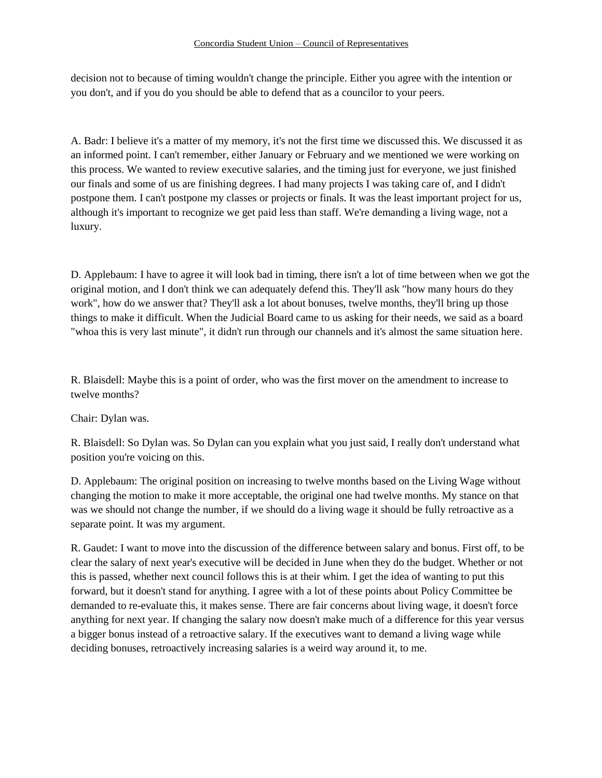decision not to because of timing wouldn't change the principle. Either you agree with the intention or you don't, and if you do you should be able to defend that as a councilor to your peers.

A. Badr: I believe it's a matter of my memory, it's not the first time we discussed this. We discussed it as an informed point. I can't remember, either January or February and we mentioned we were working on this process. We wanted to review executive salaries, and the timing just for everyone, we just finished our finals and some of us are finishing degrees. I had many projects I was taking care of, and I didn't postpone them. I can't postpone my classes or projects or finals. It was the least important project for us, although it's important to recognize we get paid less than staff. We're demanding a living wage, not a luxury.

D. Applebaum: I have to agree it will look bad in timing, there isn't a lot of time between when we got the original motion, and I don't think we can adequately defend this. They'll ask "how many hours do they work", how do we answer that? They'll ask a lot about bonuses, twelve months, they'll bring up those things to make it difficult. When the Judicial Board came to us asking for their needs, we said as a board "whoa this is very last minute", it didn't run through our channels and it's almost the same situation here.

R. Blaisdell: Maybe this is a point of order, who was the first mover on the amendment to increase to twelve months?

Chair: Dylan was.

R. Blaisdell: So Dylan was. So Dylan can you explain what you just said, I really don't understand what position you're voicing on this.

D. Applebaum: The original position on increasing to twelve months based on the Living Wage without changing the motion to make it more acceptable, the original one had twelve months. My stance on that was we should not change the number, if we should do a living wage it should be fully retroactive as a separate point. It was my argument.

R. Gaudet: I want to move into the discussion of the difference between salary and bonus. First off, to be clear the salary of next year's executive will be decided in June when they do the budget. Whether or not this is passed, whether next council follows this is at their whim. I get the idea of wanting to put this forward, but it doesn't stand for anything. I agree with a lot of these points about Policy Committee be demanded to re-evaluate this, it makes sense. There are fair concerns about living wage, it doesn't force anything for next year. If changing the salary now doesn't make much of a difference for this year versus a bigger bonus instead of a retroactive salary. If the executives want to demand a living wage while deciding bonuses, retroactively increasing salaries is a weird way around it, to me.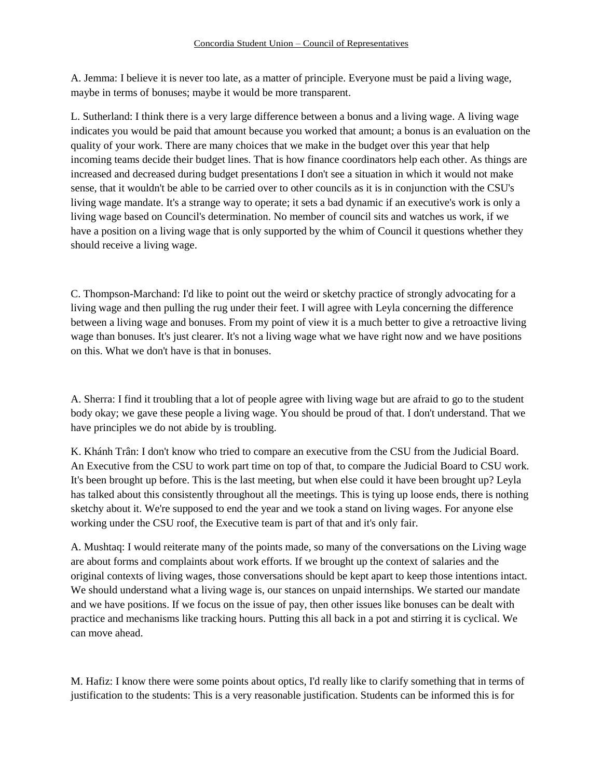A. Jemma: I believe it is never too late, as a matter of principle. Everyone must be paid a living wage, maybe in terms of bonuses; maybe it would be more transparent.

L. Sutherland: I think there is a very large difference between a bonus and a living wage. A living wage indicates you would be paid that amount because you worked that amount; a bonus is an evaluation on the quality of your work. There are many choices that we make in the budget over this year that help incoming teams decide their budget lines. That is how finance coordinators help each other. As things are increased and decreased during budget presentations I don't see a situation in which it would not make sense, that it wouldn't be able to be carried over to other councils as it is in conjunction with the CSU's living wage mandate. It's a strange way to operate; it sets a bad dynamic if an executive's work is only a living wage based on Council's determination. No member of council sits and watches us work, if we have a position on a living wage that is only supported by the whim of Council it questions whether they should receive a living wage.

C. Thompson-Marchand: I'd like to point out the weird or sketchy practice of strongly advocating for a living wage and then pulling the rug under their feet. I will agree with Leyla concerning the difference between a living wage and bonuses. From my point of view it is a much better to give a retroactive living wage than bonuses. It's just clearer. It's not a living wage what we have right now and we have positions on this. What we don't have is that in bonuses.

A. Sherra: I find it troubling that a lot of people agree with living wage but are afraid to go to the student body okay; we gave these people a living wage. You should be proud of that. I don't understand. That we have principles we do not abide by is troubling.

K. Khánh Trân: I don't know who tried to compare an executive from the CSU from the Judicial Board. An Executive from the CSU to work part time on top of that, to compare the Judicial Board to CSU work. It's been brought up before. This is the last meeting, but when else could it have been brought up? Leyla has talked about this consistently throughout all the meetings. This is tying up loose ends, there is nothing sketchy about it. We're supposed to end the year and we took a stand on living wages. For anyone else working under the CSU roof, the Executive team is part of that and it's only fair.

A. Mushtaq: I would reiterate many of the points made, so many of the conversations on the Living wage are about forms and complaints about work efforts. If we brought up the context of salaries and the original contexts of living wages, those conversations should be kept apart to keep those intentions intact. We should understand what a living wage is, our stances on unpaid internships. We started our mandate and we have positions. If we focus on the issue of pay, then other issues like bonuses can be dealt with practice and mechanisms like tracking hours. Putting this all back in a pot and stirring it is cyclical. We can move ahead.

M. Hafiz: I know there were some points about optics, I'd really like to clarify something that in terms of justification to the students: This is a very reasonable justification. Students can be informed this is for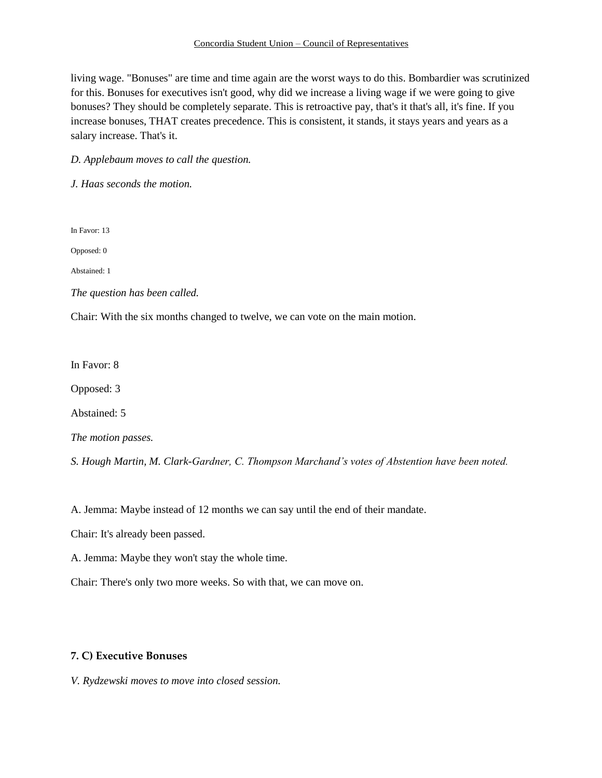#### Concordia Student Union – Council of Representatives

living wage. "Bonuses" are time and time again are the worst ways to do this. Bombardier was scrutinized for this. Bonuses for executives isn't good, why did we increase a living wage if we were going to give bonuses? They should be completely separate. This is retroactive pay, that's it that's all, it's fine. If you increase bonuses, THAT creates precedence. This is consistent, it stands, it stays years and years as a salary increase. That's it.

*D. Applebaum moves to call the question.*

*J. Haas seconds the motion.* 

In Favor: 13

Opposed: 0

Abstained: 1

*The question has been called.*

Chair: With the six months changed to twelve, we can vote on the main motion.

In Favor: 8

Opposed: 3

Abstained: 5

*The motion passes.* 

*S. Hough Martin, M. Clark-Gardner, C. Thompson Marchand's votes of Abstention have been noted.* 

A. Jemma: Maybe instead of 12 months we can say until the end of their mandate.

Chair: It's already been passed.

A. Jemma: Maybe they won't stay the whole time.

Chair: There's only two more weeks. So with that, we can move on.

### **7. C) Executive Bonuses**

*V. Rydzewski moves to move into closed session.*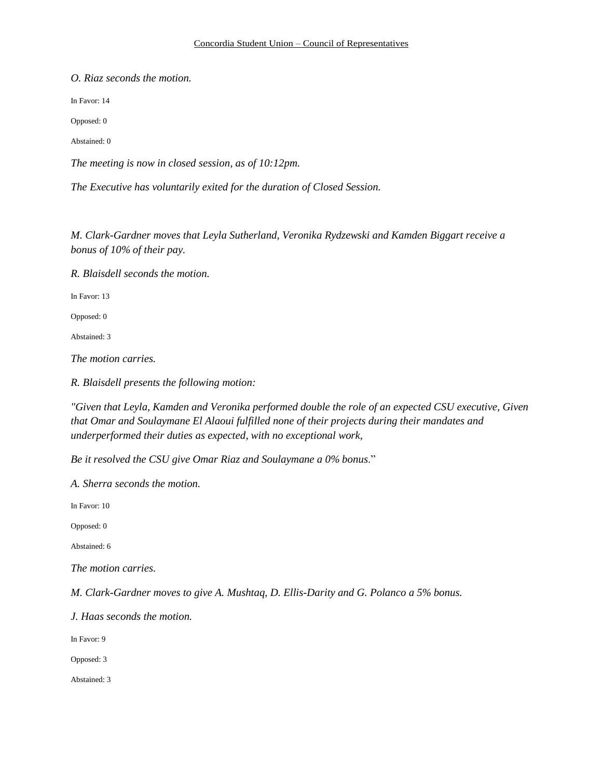*O. Riaz seconds the motion.* 

In Favor: 14

Opposed: 0

Abstained: 0

*The meeting is now in closed session, as of 10:12pm.*

*The Executive has voluntarily exited for the duration of Closed Session.*

*M. Clark-Gardner moves that Leyla Sutherland, Veronika Rydzewski and Kamden Biggart receive a bonus of 10% of their pay.*

*R. Blaisdell seconds the motion.*

In Favor: 13

Opposed: 0

Abstained: 3

*The motion carries.*

*R. Blaisdell presents the following motion:* 

*"Given that Leyla, Kamden and Veronika performed double the role of an expected CSU executive, Given that Omar and Soulaymane El Alaoui fulfilled none of their projects during their mandates and underperformed their duties as expected, with no exceptional work,*

*Be it resolved the CSU give Omar Riaz and Soulaymane a 0% bonus*."

*A. Sherra seconds the motion.*

In Favor: 10

Opposed: 0

Abstained: 6

*The motion carries.* 

*M. Clark-Gardner moves to give A. Mushtaq, D. Ellis-Darity and G. Polanco a 5% bonus.*

*J. Haas seconds the motion.*

In Favor: 9

Opposed: 3

Abstained: 3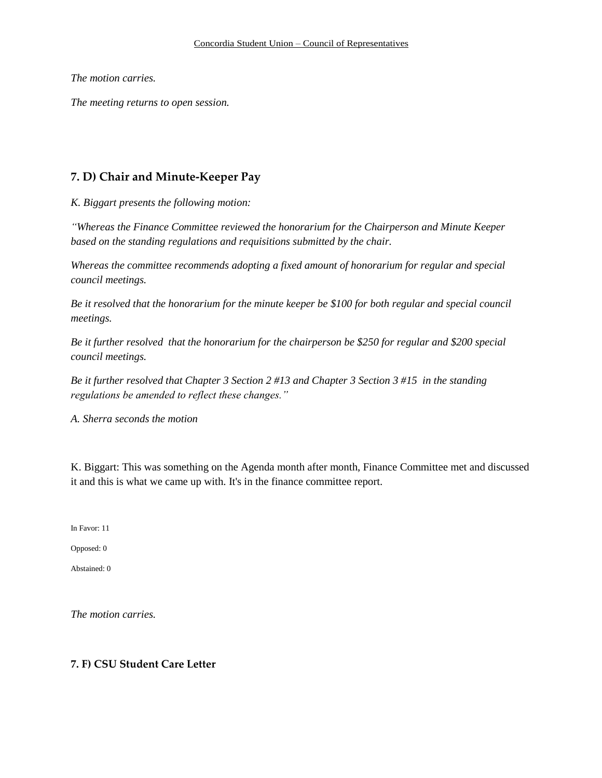*The motion carries.* 

*The meeting returns to open session.* 

# **7. D) Chair and Minute-Keeper Pay**

*K. Biggart presents the following motion:* 

*"Whereas the Finance Committee reviewed the honorarium for the Chairperson and Minute Keeper based on the standing regulations and requisitions submitted by the chair.*

*Whereas the committee recommends adopting a fixed amount of honorarium for regular and special council meetings.* 

*Be it resolved that the honorarium for the minute keeper be \$100 for both regular and special council meetings.*

*Be it further resolved that the honorarium for the chairperson be \$250 for regular and \$200 special council meetings.*

*Be it further resolved that Chapter 3 Section 2 #13 and Chapter 3 Section 3 #15 in the standing regulations be amended to reflect these changes."*

*A. Sherra seconds the motion*

K. Biggart: This was something on the Agenda month after month, Finance Committee met and discussed it and this is what we came up with. It's in the finance committee report.

In Favor: 11

Opposed: 0

Abstained: 0

*The motion carries.* 

### **7. F) CSU Student Care Letter**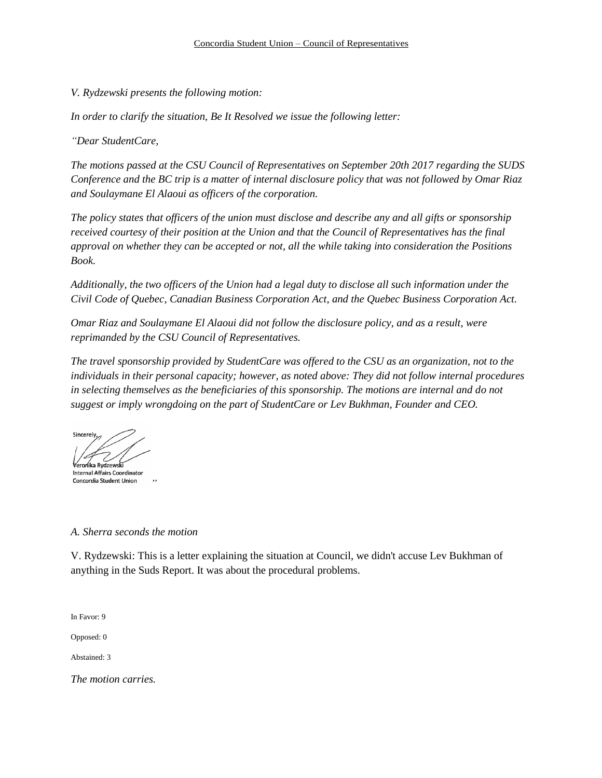*V. Rydzewski presents the following motion:* 

*In order to clarify the situation, Be It Resolved we issue the following letter:* 

*"Dear StudentCare,* 

*The motions passed at the CSU Council of Representatives on September 20th 2017 regarding the SUDS Conference and the BC trip is a matter of internal disclosure policy that was not followed by Omar Riaz and Soulaymane El Alaoui as officers of the corporation.* 

*The policy states that officers of the union must disclose and describe any and all gifts or sponsorship received courtesy of their position at the Union and that the Council of Representatives has the final approval on whether they can be accepted or not, all the while taking into consideration the Positions Book.*

*Additionally, the two officers of the Union had a legal duty to disclose all such information under the Civil Code of Quebec, Canadian Business Corporation Act, and the Quebec Business Corporation Act.* 

*Omar Riaz and Soulaymane El Alaoui did not follow the disclosure policy, and as a result, were reprimanded by the CSU Council of Representatives.*

*The travel sponsorship provided by StudentCare was offered to the CSU as an organization, not to the individuals in their personal capacity; however, as noted above: They did not follow internal procedures in selecting themselves as the beneficiaries of this sponsorship. The motions are internal and do not suggest or imply wrongdoing on the part of StudentCare or Lev Bukhman, Founder and CEO.* 

Sincerely<sub>s</sub> Véroníka Rvdzewsk Internal Affairs Coordinator

Concordia Student Union *"*

### *A. Sherra seconds the motion*

V. Rydzewski: This is a letter explaining the situation at Council, we didn't accuse Lev Bukhman of anything in the Suds Report. It was about the procedural problems.

In Favor: 9

Opposed: 0

Abstained: 3

*The motion carries.*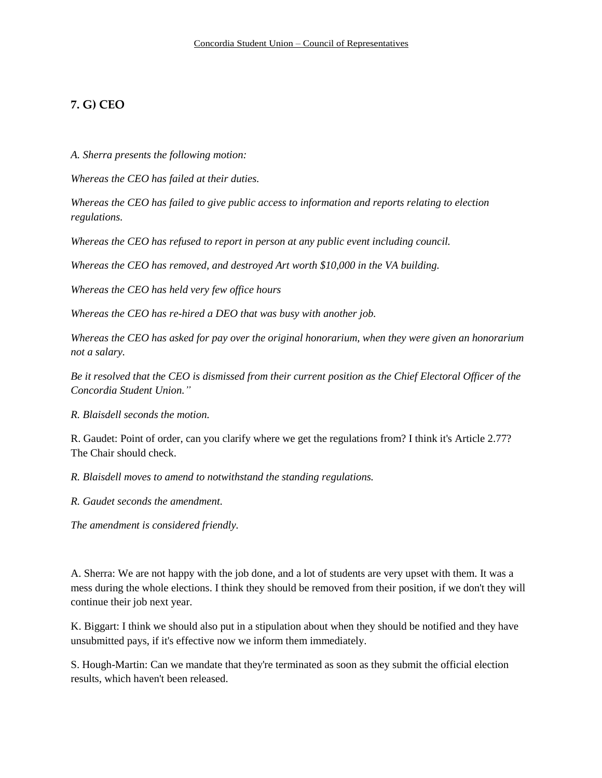# **7. G) CEO**

*A. Sherra presents the following motion:* 

*Whereas the CEO has failed at their duties.*

*Whereas the CEO has failed to give public access to information and reports relating to election regulations.*

*Whereas the CEO has refused to report in person at any public event including council.*

*Whereas the CEO has removed, and destroyed Art worth \$10,000 in the VA building.*

*Whereas the CEO has held very few office hours*

*Whereas the CEO has re-hired a DEO that was busy with another job.*

*Whereas the CEO has asked for pay over the original honorarium, when they were given an honorarium not a salary.*

*Be it resolved that the CEO is dismissed from their current position as the Chief Electoral Officer of the Concordia Student Union."*

*R. Blaisdell seconds the motion.* 

R. Gaudet: Point of order, can you clarify where we get the regulations from? I think it's Article 2.77? The Chair should check.

*R. Blaisdell moves to amend to notwithstand the standing regulations.* 

*R. Gaudet seconds the amendment.* 

*The amendment is considered friendly.*

A. Sherra: We are not happy with the job done, and a lot of students are very upset with them. It was a mess during the whole elections. I think they should be removed from their position, if we don't they will continue their job next year.

K. Biggart: I think we should also put in a stipulation about when they should be notified and they have unsubmitted pays, if it's effective now we inform them immediately.

S. Hough-Martin: Can we mandate that they're terminated as soon as they submit the official election results, which haven't been released.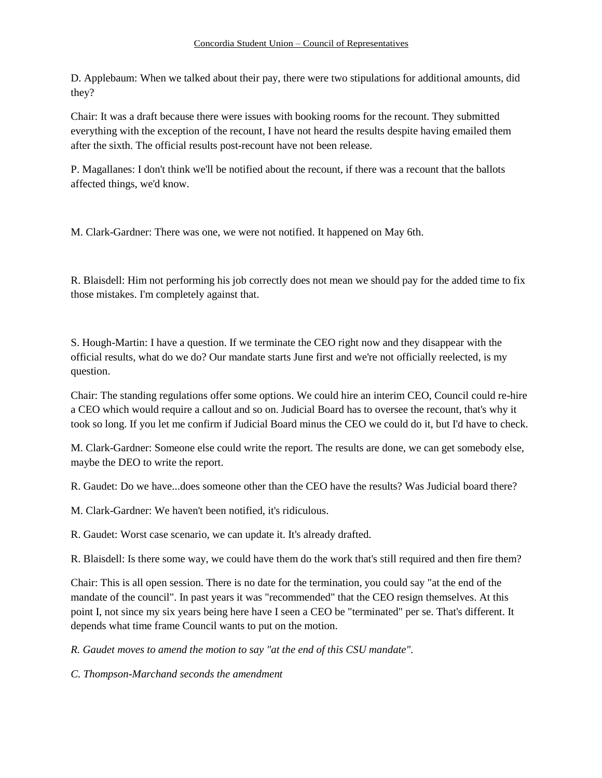D. Applebaum: When we talked about their pay, there were two stipulations for additional amounts, did they?

Chair: It was a draft because there were issues with booking rooms for the recount. They submitted everything with the exception of the recount, I have not heard the results despite having emailed them after the sixth. The official results post-recount have not been release.

P. Magallanes: I don't think we'll be notified about the recount, if there was a recount that the ballots affected things, we'd know.

M. Clark-Gardner: There was one, we were not notified. It happened on May 6th.

R. Blaisdell: Him not performing his job correctly does not mean we should pay for the added time to fix those mistakes. I'm completely against that.

S. Hough-Martin: I have a question. If we terminate the CEO right now and they disappear with the official results, what do we do? Our mandate starts June first and we're not officially reelected, is my question.

Chair: The standing regulations offer some options. We could hire an interim CEO, Council could re-hire a CEO which would require a callout and so on. Judicial Board has to oversee the recount, that's why it took so long. If you let me confirm if Judicial Board minus the CEO we could do it, but I'd have to check.

M. Clark-Gardner: Someone else could write the report. The results are done, we can get somebody else, maybe the DEO to write the report.

R. Gaudet: Do we have...does someone other than the CEO have the results? Was Judicial board there?

M. Clark-Gardner: We haven't been notified, it's ridiculous.

R. Gaudet: Worst case scenario, we can update it. It's already drafted.

R. Blaisdell: Is there some way, we could have them do the work that's still required and then fire them?

Chair: This is all open session. There is no date for the termination, you could say "at the end of the mandate of the council". In past years it was "recommended" that the CEO resign themselves. At this point I, not since my six years being here have I seen a CEO be "terminated" per se. That's different. It depends what time frame Council wants to put on the motion.

*R. Gaudet moves to amend the motion to say "at the end of this CSU mandate".* 

*C. Thompson-Marchand seconds the amendment*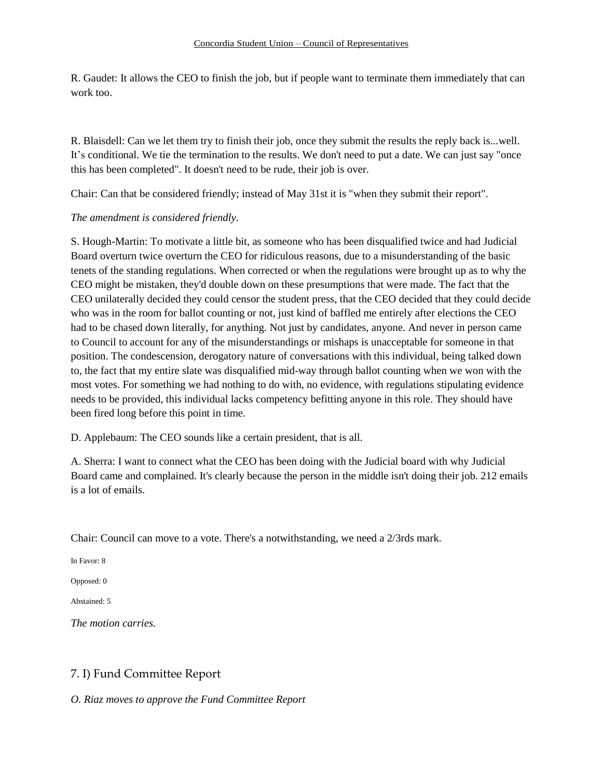R. Gaudet: It allows the CEO to finish the job, but if people want to terminate them immediately that can work too.

R. Blaisdell: Can we let them try to finish their job, once they submit the results the reply back is...well. It's conditional. We tie the termination to the results. We don't need to put a date. We can just say "once this has been completed". It doesn't need to be rude, their job is over.

Chair: Can that be considered friendly; instead of May 31st it is "when they submit their report".

## *The amendment is considered friendly.*

S. Hough-Martin: To motivate a little bit, as someone who has been disqualified twice and had Judicial Board overturn twice overturn the CEO for ridiculous reasons, due to a misunderstanding of the basic tenets of the standing regulations. When corrected or when the regulations were brought up as to why the CEO might be mistaken, they'd double down on these presumptions that were made. The fact that the CEO unilaterally decided they could censor the student press, that the CEO decided that they could decide who was in the room for ballot counting or not, just kind of baffled me entirely after elections the CEO had to be chased down literally, for anything. Not just by candidates, anyone. And never in person came to Council to account for any of the misunderstandings or mishaps is unacceptable for someone in that position. The condescension, derogatory nature of conversations with this individual, being talked down to, the fact that my entire slate was disqualified mid-way through ballot counting when we won with the most votes. For something we had nothing to do with, no evidence, with regulations stipulating evidence needs to be provided, this individual lacks competency befitting anyone in this role. They should have been fired long before this point in time.

D. Applebaum: The CEO sounds like a certain president, that is all.

A. Sherra: I want to connect what the CEO has been doing with the Judicial board with why Judicial Board came and complained. It's clearly because the person in the middle isn't doing their job. 212 emails is a lot of emails.

Chair: Council can move to a vote. There's a notwithstanding, we need a 2/3rds mark.

In Favor: 8

Opposed: 0

Abstained: 5

*The motion carries.*

# 7. I) Fund Committee Report

*O. Riaz moves to approve the Fund Committee Report*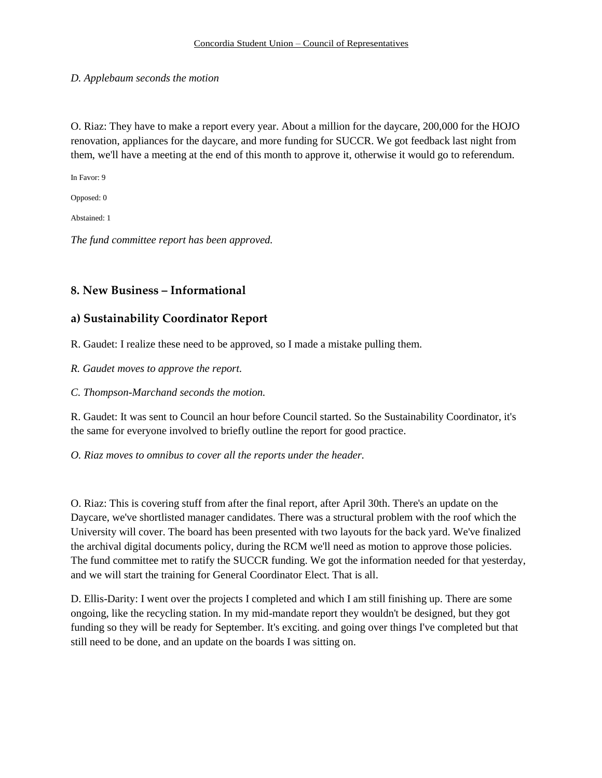## *D. Applebaum seconds the motion*

O. Riaz: They have to make a report every year. About a million for the daycare, 200,000 for the HOJO renovation, appliances for the daycare, and more funding for SUCCR. We got feedback last night from them, we'll have a meeting at the end of this month to approve it, otherwise it would go to referendum.

In Favor: 9

Opposed: 0

Abstained: 1

*The fund committee report has been approved.*

# **8. New Business – Informational**

# **a) Sustainability Coordinator Report**

R. Gaudet: I realize these need to be approved, so I made a mistake pulling them.

*R. Gaudet moves to approve the report.*

*C. Thompson-Marchand seconds the motion.*

R. Gaudet: It was sent to Council an hour before Council started. So the Sustainability Coordinator, it's the same for everyone involved to briefly outline the report for good practice.

*O. Riaz moves to omnibus to cover all the reports under the header.*

O. Riaz: This is covering stuff from after the final report, after April 30th. There's an update on the Daycare, we've shortlisted manager candidates. There was a structural problem with the roof which the University will cover. The board has been presented with two layouts for the back yard. We've finalized the archival digital documents policy, during the RCM we'll need as motion to approve those policies. The fund committee met to ratify the SUCCR funding. We got the information needed for that yesterday, and we will start the training for General Coordinator Elect. That is all.

D. Ellis-Darity: I went over the projects I completed and which I am still finishing up. There are some ongoing, like the recycling station. In my mid-mandate report they wouldn't be designed, but they got funding so they will be ready for September. It's exciting. and going over things I've completed but that still need to be done, and an update on the boards I was sitting on.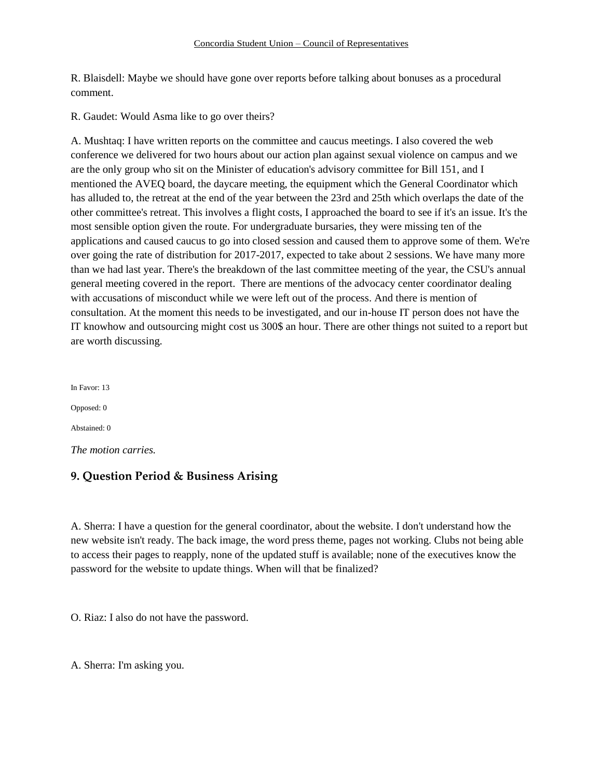#### Concordia Student Union – Council of Representatives

R. Blaisdell: Maybe we should have gone over reports before talking about bonuses as a procedural comment.

R. Gaudet: Would Asma like to go over theirs?

A. Mushtaq: I have written reports on the committee and caucus meetings. I also covered the web conference we delivered for two hours about our action plan against sexual violence on campus and we are the only group who sit on the Minister of education's advisory committee for Bill 151, and I mentioned the AVEQ board, the daycare meeting, the equipment which the General Coordinator which has alluded to, the retreat at the end of the year between the 23rd and 25th which overlaps the date of the other committee's retreat. This involves a flight costs, I approached the board to see if it's an issue. It's the most sensible option given the route. For undergraduate bursaries, they were missing ten of the applications and caused caucus to go into closed session and caused them to approve some of them. We're over going the rate of distribution for 2017-2017, expected to take about 2 sessions. We have many more than we had last year. There's the breakdown of the last committee meeting of the year, the CSU's annual general meeting covered in the report. There are mentions of the advocacy center coordinator dealing with accusations of misconduct while we were left out of the process. And there is mention of consultation. At the moment this needs to be investigated, and our in-house IT person does not have the IT knowhow and outsourcing might cost us 300\$ an hour. There are other things not suited to a report but are worth discussing.

In Favor: 13 Opposed: 0 Abstained: 0 *The motion carries.*

# **9. Question Period & Business Arising**

A. Sherra: I have a question for the general coordinator, about the website. I don't understand how the new website isn't ready. The back image, the word press theme, pages not working. Clubs not being able to access their pages to reapply, none of the updated stuff is available; none of the executives know the password for the website to update things. When will that be finalized?

O. Riaz: I also do not have the password.

A. Sherra: I'm asking you.